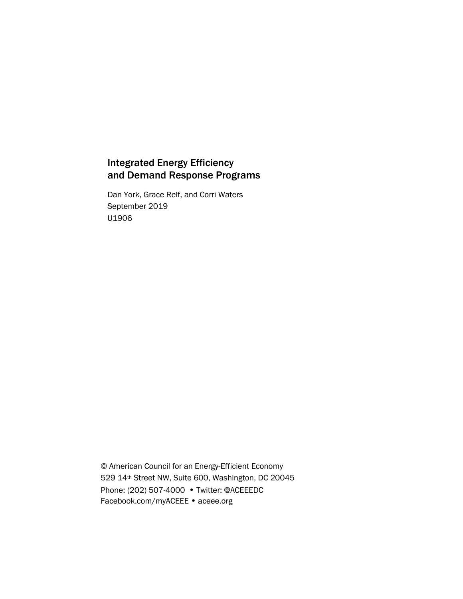# Integrated Energy Efficiency and Demand Response Programs

Dan York, Grace Relf, and Corri Waters September 2019 U1906

© American Council for an Energy-Efficient Economy 529 14th Street NW, Suite 600, Washington, DC 20045 Phone: (202) 507-4000 • Twitter: @ACEEEDC Facebook.com/myACEEE • aceee.org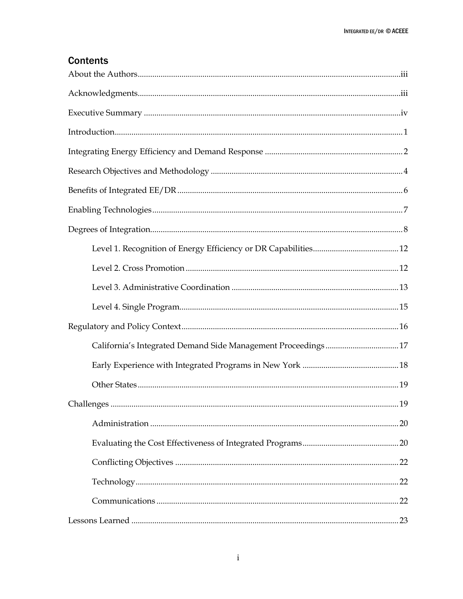# **Contents**

| California's Integrated Demand Side Management Proceedings17 |  |
|--------------------------------------------------------------|--|
|                                                              |  |
|                                                              |  |
|                                                              |  |
|                                                              |  |
|                                                              |  |
|                                                              |  |
|                                                              |  |
|                                                              |  |
|                                                              |  |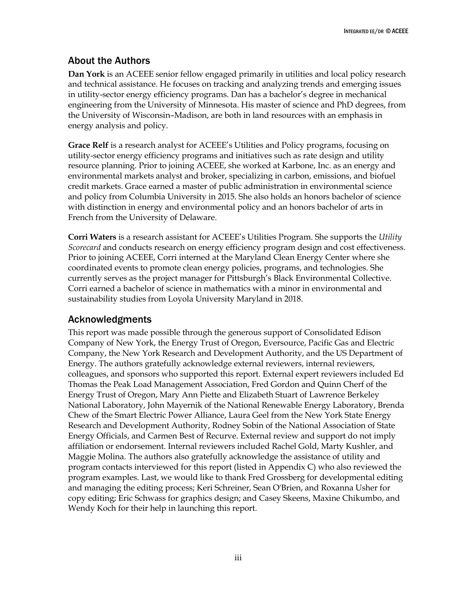# <span id="page-3-0"></span>About the Authors

**Dan York** is an ACEEE senior fellow engaged primarily in utilities and local policy research and technical assistance. He focuses on tracking and analyzing trends and emerging issues in utility-sector energy efficiency programs. Dan has a bachelor's degree in mechanical engineering from the University of Minnesota. His master of science and PhD degrees, from the University of Wisconsin–Madison, are both in land resources with an emphasis in energy analysis and policy.

**Grace Relf** is a research analyst for ACEEE's Utilities and Policy programs, focusing on utility-sector energy efficiency programs and initiatives such as rate design and utility resource planning. Prior to joining ACEEE, she worked at Karbone, Inc. as an energy and environmental markets analyst and broker, specializing in carbon, emissions, and biofuel credit markets. Grace earned a master of public administration in environmental science and policy from Columbia University in 2015. She also holds an honors bachelor of science with distinction in energy and environmental policy and an honors bachelor of arts in French from the University of Delaware.

**Corri Waters** is a research assistant for ACEEE's Utilities Program. She supports the *Utility Scorecard* and conducts research on energy efficiency program design and cost effectiveness. Prior to joining ACEEE, Corri interned at the Maryland Clean Energy Center where she coordinated events to promote clean energy policies, programs, and technologies. She currently serves as the project manager for Pittsburgh's Black Environmental Collective. Corri earned a bachelor of science in mathematics with a minor in environmental and sustainability studies from Loyola University Maryland in 2018.

## <span id="page-3-1"></span>Acknowledgments

This report was made possible through the generous support of Consolidated Edison Company of New York, the Energy Trust of Oregon, Eversource, Pacific Gas and Electric Company, the New York Research and Development Authority, and the US Department of Energy. The authors gratefully acknowledge external reviewers, internal reviewers, colleagues, and sponsors who supported this report. External expert reviewers included Ed Thomas the Peak Load Management Association, Fred Gordon and Quinn Cherf of the Energy Trust of Oregon, Mary Ann Piette and Elizabeth Stuart of Lawrence Berkeley National Laboratory, John Mayernik of the National Renewable Energy Laboratory, Brenda Chew of the Smart Electric Power Alliance, Laura Geel from the New York State Energy Research and Development Authority, Rodney Sobin of the National Association of State Energy Officials, and Carmen Best of Recurve. External review and support do not imply affiliation or endorsement. Internal reviewers included Rachel Gold, Marty Kushler, and Maggie Molina. The authors also gratefully acknowledge the assistance of utility and program contacts interviewed for this report (listed in Appendix C) who also reviewed the program examples. Last, we would like to thank Fred Grossberg for developmental editing and managing the editing process; Keri Schreiner, Sean O'Brien, and Roxanna Usher for copy editing; Eric Schwass for graphics design; and Casey Skeens, Maxine Chikumbo, and Wendy Koch for their help in launching this report.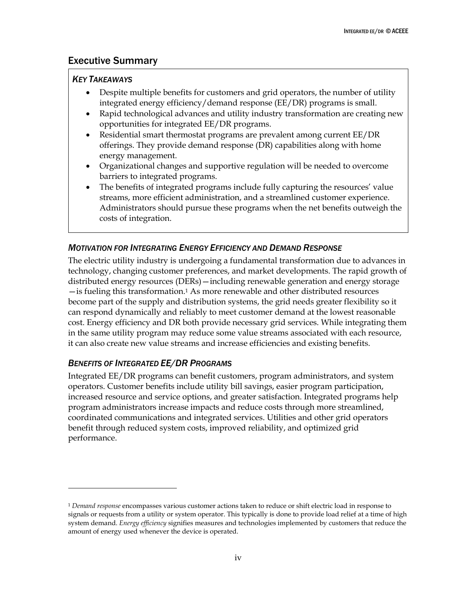### <span id="page-4-0"></span>Executive Summary

#### *KEY TAKEAWAYS*

- Despite multiple benefits for customers and grid operators, the number of utility integrated energy efficiency/demand response (EE/DR) programs is small.
- Rapid technological advances and utility industry transformation are creating new opportunities for integrated EE/DR programs.
- Residential smart thermostat programs are prevalent among current EE/DR offerings. They provide demand response (DR) capabilities along with home energy management.
- Organizational changes and supportive regulation will be needed to overcome barriers to integrated programs.
- The benefits of integrated programs include fully capturing the resources' value streams, more efficient administration, and a streamlined customer experience. Administrators should pursue these programs when the net benefits outweigh the costs of integration.

### *MOTIVATION FOR INTEGRATING ENERGY EFFICIENCY AND DEMAND RESPONSE*

The electric utility industry is undergoing a fundamental transformation due to advances in technology, changing customer preferences, and market developments. The rapid growth of distributed energy resources (DERs)—including renewable generation and energy storage —is fueling this transformation.<sup>1</sup> As more renewable and other distributed resources become part of the supply and distribution systems, the grid needs greater flexibility so it can respond dynamically and reliably to meet customer demand at the lowest reasonable cost. Energy efficiency and DR both provide necessary grid services. While integrating them in the same utility program may reduce some value streams associated with each resource, it can also create new value streams and increase efficiencies and existing benefits.

### *BENEFITS OF INTEGRATED EE/DR PROGRAMS*

 $\overline{a}$ 

Integrated EE/DR programs can benefit customers, program administrators, and system operators. Customer benefits include utility bill savings, easier program participation, increased resource and service options, and greater satisfaction. Integrated programs help program administrators increase impacts and reduce costs through more streamlined, coordinated communications and integrated services. Utilities and other grid operators benefit through reduced system costs, improved reliability, and optimized grid performance.

<sup>1</sup> *Demand response* encompasses various customer actions taken to reduce or shift electric load in response to signals or requests from a utility or system operator. This typically is done to provide load relief at a time of high system demand. *Energy efficiency* signifies measures and technologies implemented by customers that reduce the amount of energy used whenever the device is operated.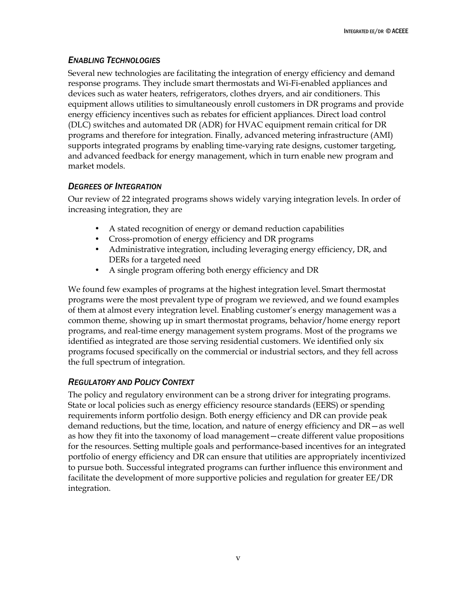# *ENABLING TECHNOLOGIES*

Several new technologies are facilitating the integration of energy efficiency and demand response programs. They include smart thermostats and Wi-Fi-enabled appliances and devices such as water heaters, refrigerators, clothes dryers, and air conditioners. This equipment allows utilities to simultaneously enroll customers in DR programs and provide energy efficiency incentives such as rebates for efficient appliances. Direct load control (DLC) switches and automated DR (ADR) for HVAC equipment remain critical for DR programs and therefore for integration. Finally, advanced metering infrastructure (AMI) supports integrated programs by enabling time-varying rate designs, customer targeting, and advanced feedback for energy management, which in turn enable new program and market models.

### *DEGREES OF INTEGRATION*

Our review of 22 integrated programs shows widely varying integration levels. In order of increasing integration, they are

- A stated recognition of energy or demand reduction capabilities
- Cross-promotion of energy efficiency and DR programs
- Administrative integration, including leveraging energy efficiency, DR, and DERs for a targeted need
- A single program offering both energy efficiency and DR

We found few examples of programs at the highest integration level. Smart thermostat programs were the most prevalent type of program we reviewed, and we found examples of them at almost every integration level. Enabling customer's energy management was a common theme, showing up in smart thermostat programs, behavior/home energy report programs, and real-time energy management system programs. Most of the programs we identified as integrated are those serving residential customers. We identified only six programs focused specifically on the commercial or industrial sectors, and they fell across the full spectrum of integration.

## *REGULATORY AND POLICY CONTEXT*

The policy and regulatory environment can be a strong driver for integrating programs. State or local policies such as energy efficiency resource standards (EERS) or spending requirements inform portfolio design. Both energy efficiency and DR can provide peak demand reductions, but the time, location, and nature of energy efficiency and DR—as well as how they fit into the taxonomy of load management—create different value propositions for the resources. Setting multiple goals and performance-based incentives for an integrated portfolio of energy efficiency and DR can ensure that utilities are appropriately incentivized to pursue both. Successful integrated programs can further influence this environment and facilitate the development of more supportive policies and regulation for greater EE/DR integration.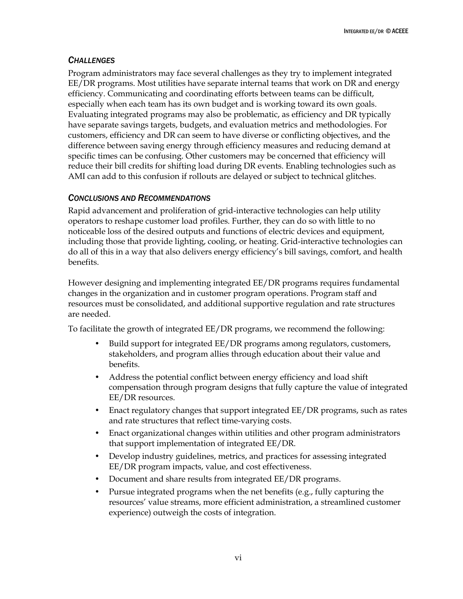#### *CHALLENGES*

Program administrators may face several challenges as they try to implement integrated EE/DR programs. Most utilities have separate internal teams that work on DR and energy efficiency. Communicating and coordinating efforts between teams can be difficult, especially when each team has its own budget and is working toward its own goals. Evaluating integrated programs may also be problematic, as efficiency and DR typically have separate savings targets, budgets, and evaluation metrics and methodologies. For customers, efficiency and DR can seem to have diverse or conflicting objectives, and the difference between saving energy through efficiency measures and reducing demand at specific times can be confusing. Other customers may be concerned that efficiency will reduce their bill credits for shifting load during DR events. Enabling technologies such as AMI can add to this confusion if rollouts are delayed or subject to technical glitches.

#### *CONCLUSIONS AND RECOMMENDATIONS*

Rapid advancement and proliferation of grid-interactive technologies can help utility operators to reshape customer load profiles. Further, they can do so with little to no noticeable loss of the desired outputs and functions of electric devices and equipment, including those that provide lighting, cooling, or heating. Grid-interactive technologies can do all of this in a way that also delivers energy efficiency's bill savings, comfort, and health benefits.

However designing and implementing integrated EE/DR programs requires fundamental changes in the organization and in customer program operations. Program staff and resources must be consolidated, and additional supportive regulation and rate structures are needed.

To facilitate the growth of integrated EE/DR programs, we recommend the following:

- Build support for integrated EE/DR programs among regulators, customers, stakeholders, and program allies through education about their value and benefits.
- Address the potential conflict between energy efficiency and load shift compensation through program designs that fully capture the value of integrated EE/DR resources.
- Enact regulatory changes that support integrated EE/DR programs, such as rates and rate structures that reflect time-varying costs.
- Enact organizational changes within utilities and other program administrators that support implementation of integrated EE/DR.
- Develop industry guidelines, metrics, and practices for assessing integrated EE/DR program impacts, value, and cost effectiveness.
- Document and share results from integrated EE/DR programs.
- Pursue integrated programs when the net benefits (e.g., fully capturing the resources' value streams, more efficient administration, a streamlined customer experience) outweigh the costs of integration.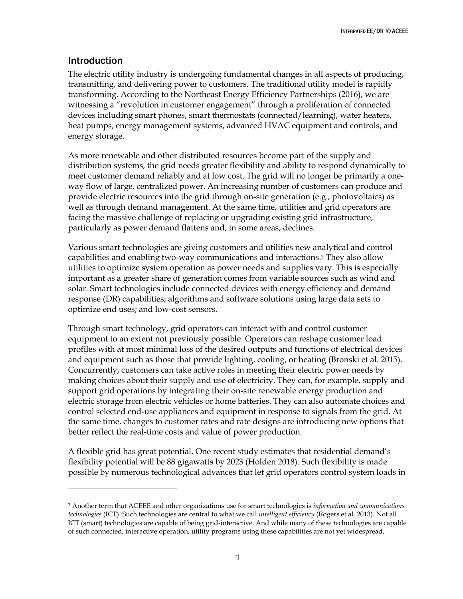## <span id="page-7-0"></span>Introduction

 $\overline{a}$ 

The electric utility industry is undergoing fundamental changes in all aspects of producing, transmitting, and delivering power to customers. The traditional utility model is rapidly transforming. According to the Northeast Energy Efficiency Partnerships (2016), we are witnessing a "revolution in customer engagement" through a proliferation of connected devices including smart phones, smart thermostats (connected/learning), water heaters, heat pumps, energy management systems, advanced HVAC equipment and controls, and energy storage.

As more renewable and other distributed resources become part of the supply and distribution systems, the grid needs greater flexibility and ability to respond dynamically to meet customer demand reliably and at low cost. The grid will no longer be primarily a oneway flow of large, centralized power. An increasing number of customers can produce and provide electric resources into the grid through on-site generation (e.g., photovoltaics) as well as through demand management. At the same time, utilities and grid operators are facing the massive challenge of replacing or upgrading existing grid infrastructure, particularly as power demand flattens and, in some areas, declines.

Various smart technologies are giving customers and utilities new analytical and control capabilities and enabling two-way communications and interactions.<sup>2</sup> They also allow utilities to optimize system operation as power needs and supplies vary. This is especially important as a greater share of generation comes from variable sources such as wind and solar. Smart technologies include connected devices with energy efficiency and demand response (DR) capabilities; algorithms and software solutions using large data sets to optimize end uses; and low-cost sensors.

Through smart technology, grid operators can interact with and control customer equipment to an extent not previously possible. Operators can reshape customer load profiles with at most minimal loss of the desired outputs and functions of electrical devices and equipment such as those that provide lighting, cooling, or heating (Bronski et al. 2015). Concurrently, customers can take active roles in meeting their electric power needs by making choices about their supply and use of electricity. They can, for example, supply and support grid operations by integrating their on-site renewable energy production and electric storage from electric vehicles or home batteries. They can also automate choices and control selected end-use appliances and equipment in response to signals from the grid. At the same time, changes to customer rates and rate designs are introducing new options that better reflect the real-time costs and value of power production.

A flexible grid has great potential. One recent study estimates that residential demand's flexibility potential will be 88 gigawatts by 2023 (Holden 2018). Such flexibility is made possible by numerous technological advances that let grid operators control system loads in

<sup>2</sup> Another term that ACEEE and other organizations use for smart technologies is *information and communications technologies* (ICT). Such technologies are central to what we call *intelligent efficiency* (Rogers et al. 2013). Not all ICT (smart) technologies are capable of being grid-interactive. And while many of these technologies are capable of such connected, interactive operation, utility programs using these capabilities are not yet widespread.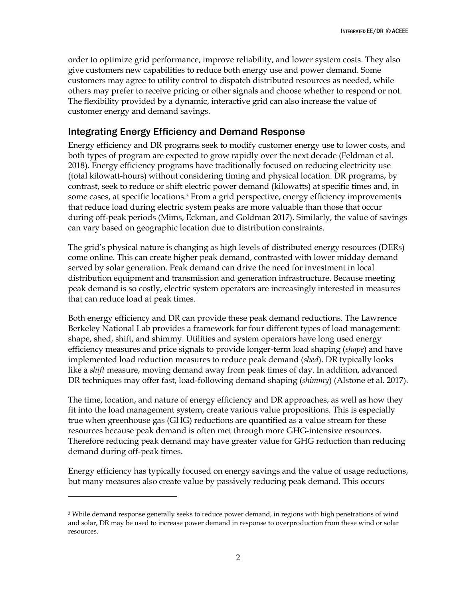order to optimize grid performance, improve reliability, and lower system costs. They also give customers new capabilities to reduce both energy use and power demand. Some customers may agree to utility control to dispatch distributed resources as needed, while others may prefer to receive pricing or other signals and choose whether to respond or not. The flexibility provided by a dynamic, interactive grid can also increase the value of customer energy and demand savings.

# <span id="page-8-0"></span>Integrating Energy Efficiency and Demand Response

Energy efficiency and DR programs seek to modify customer energy use to lower costs, and both types of program are expected to grow rapidly over the next decade (Feldman et al. 2018). Energy efficiency programs have traditionally focused on reducing electricity use (total kilowatt-hours) without considering timing and physical location. DR programs, by contrast, seek to reduce or shift electric power demand (kilowatts) at specific times and, in some cases, at specific locations.<sup>3</sup> From a grid perspective, energy efficiency improvements that reduce load during electric system peaks are more valuable than those that occur during off-peak periods (Mims, Eckman, and Goldman 2017). Similarly, the value of savings can vary based on geographic location due to distribution constraints.

The grid's physical nature is changing as high levels of distributed energy resources (DERs) come online. This can create higher peak demand, contrasted with lower midday demand served by solar generation. Peak demand can drive the need for investment in local distribution equipment and transmission and generation infrastructure. Because meeting peak demand is so costly, electric system operators are increasingly interested in measures that can reduce load at peak times.

Both energy efficiency and DR can provide these peak demand reductions. The Lawrence Berkeley National Lab provides a framework for four different types of load management: shape, shed, shift, and shimmy. Utilities and system operators have long used energy efficiency measures and price signals to provide longer-term load shaping (*shape*) and have implemented load reduction measures to reduce peak demand (*shed*). DR typically looks like a *shift* measure, moving demand away from peak times of day. In addition, advanced DR techniques may offer fast, load-following demand shaping (*shimmy*) (Alstone et al. 2017).

The time, location, and nature of energy efficiency and DR approaches, as well as how they fit into the load management system, create various value propositions. This is especially true when greenhouse gas (GHG) reductions are quantified as a value stream for these resources because peak demand is often met through more GHG-intensive resources. Therefore reducing peak demand may have greater value for GHG reduction than reducing demand during off-peak times.

Energy efficiency has typically focused on energy savings and the value of usage reductions, but many measures also create value by passively reducing peak demand. This occurs

 $\overline{a}$ 

<sup>&</sup>lt;sup>3</sup> While demand response generally seeks to reduce power demand, in regions with high penetrations of wind and solar, DR may be used to increase power demand in response to overproduction from these wind or solar resources.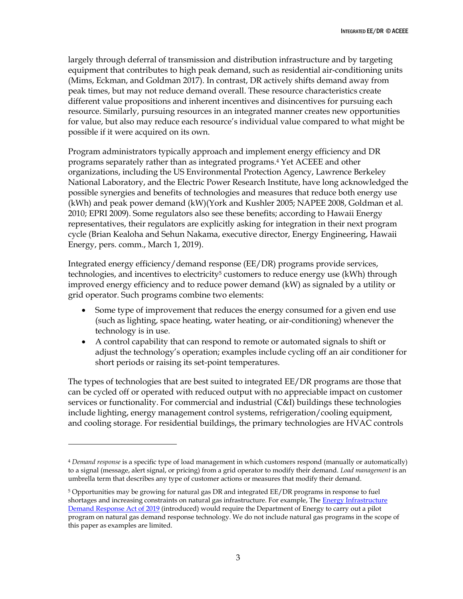largely through deferral of transmission and distribution infrastructure and by targeting equipment that contributes to high peak demand, such as residential air-conditioning units (Mims, Eckman, and Goldman 2017). In contrast, DR actively shifts demand away from peak times, but may not reduce demand overall. These resource characteristics create different value propositions and inherent incentives and disincentives for pursuing each resource. Similarly, pursuing resources in an integrated manner creates new opportunities for value, but also may reduce each resource's individual value compared to what might be possible if it were acquired on its own.

Program administrators typically approach and implement energy efficiency and DR programs separately rather than as integrated programs.<sup>4</sup> Yet ACEEE and other organizations, including the US Environmental Protection Agency, Lawrence Berkeley National Laboratory, and the Electric Power Research Institute, have long acknowledged the possible synergies and benefits of technologies and measures that reduce both energy use (kWh) and peak power demand (kW)(York and Kushler 2005; NAPEE 2008, Goldman et al. 2010; EPRI 2009). Some regulators also see these benefits; according to Hawaii Energy representatives, their regulators are explicitly asking for integration in their next program cycle (Brian Kealoha and Sehun Nakama, executive director, Energy Engineering, Hawaii Energy, pers. comm., March 1, 2019).

Integrated energy efficiency/demand response (EE/DR) programs provide services, technologies, and incentives to electricity<sup>5</sup> customers to reduce energy use (kWh) through improved energy efficiency and to reduce power demand (kW) as signaled by a utility or grid operator. Such programs combine two elements:

- Some type of improvement that reduces the energy consumed for a given end use (such as lighting, space heating, water heating, or air-conditioning) whenever the technology is in use.
- A control capability that can respond to remote or automated signals to shift or adjust the technology's operation; examples include cycling off an air conditioner for short periods or raising its set-point temperatures.

The types of technologies that are best suited to integrated EE/DR programs are those that can be cycled off or operated with reduced output with no appreciable impact on customer services or functionality. For commercial and industrial (C&I) buildings these technologies include lighting, energy management control systems, refrigeration/cooling equipment, and cooling storage. For residential buildings, the primary technologies are HVAC controls

 $\overline{a}$ 

<sup>4</sup> *Demand response* is a specific type of load management in which customers respond (manually or automatically) to a signal (message, alert signal, or pricing) from a grid operator to modify their demand. *Load management* is an umbrella term that describes any type of customer actions or measures that modify their demand.

<sup>5</sup> Opportunities may be growing for natural gas DR and integrated EE/DR programs in response to fuel shortages and increasing constraints on natural gas infrastructure. For example, The Energy Infrastructure [Demand Response Act of 2019](https://www.govtrack.us/congress/bills/116/s487/text/is) (introduced) would require the Department of Energy to carry out a pilot program on natural gas demand response technology. We do not include natural gas programs in the scope of this paper as examples are limited.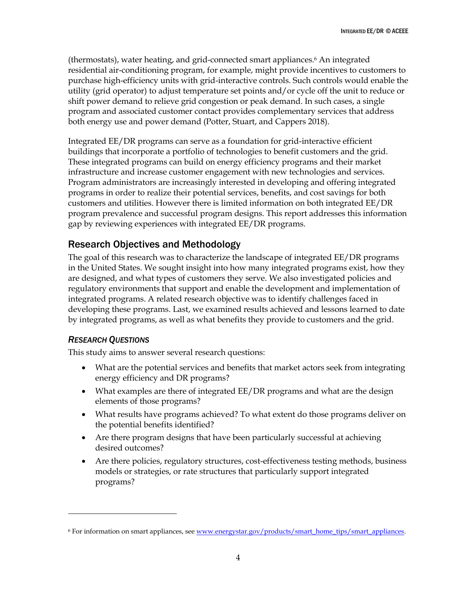(thermostats), water heating, and grid-connected smart appliances.<sup>6</sup> An integrated residential air-conditioning program, for example, might provide incentives to customers to purchase high-efficiency units with grid-interactive controls. Such controls would enable the utility (grid operator) to adjust temperature set points and/or cycle off the unit to reduce or shift power demand to relieve grid congestion or peak demand. In such cases, a single program and associated customer contact provides complementary services that address both energy use and power demand (Potter, Stuart, and Cappers 2018).

Integrated EE/DR programs can serve as a foundation for grid-interactive efficient buildings that incorporate a portfolio of technologies to benefit customers and the grid. These integrated programs can build on energy efficiency programs and their market infrastructure and increase customer engagement with new technologies and services. Program administrators are increasingly interested in developing and offering integrated programs in order to realize their potential services, benefits, and cost savings for both customers and utilities. However there is limited information on both integrated EE/DR program prevalence and successful program designs. This report addresses this information gap by reviewing experiences with integrated EE/DR programs.

# <span id="page-10-0"></span>Research Objectives and Methodology

The goal of this research was to characterize the landscape of integrated EE/DR programs in the United States. We sought insight into how many integrated programs exist, how they are designed, and what types of customers they serve. We also investigated policies and regulatory environments that support and enable the development and implementation of integrated programs. A related research objective was to identify challenges faced in developing these programs. Last, we examined results achieved and lessons learned to date by integrated programs, as well as what benefits they provide to customers and the grid.

### *RESEARCH QUESTIONS*

 $\overline{a}$ 

This study aims to answer several research questions:

- What are the potential services and benefits that market actors seek from integrating energy efficiency and DR programs?
- What examples are there of integrated EE/DR programs and what are the design elements of those programs?
- What results have programs achieved? To what extent do those programs deliver on the potential benefits identified?
- Are there program designs that have been particularly successful at achieving desired outcomes?
- Are there policies, regulatory structures, cost-effectiveness testing methods, business models or strategies, or rate structures that particularly support integrated programs?

<sup>&</sup>lt;sup>6</sup> For information on smart appliances, se[e www.energystar.gov/products/smart\\_home\\_tips/smart\\_appliances.](file:///C:/Users/Fred/Dropbox/ACEEE/Dan%20Y/EE%20&%20DR/www.energystar.gov/products/smart_home_tips/smart_appliances)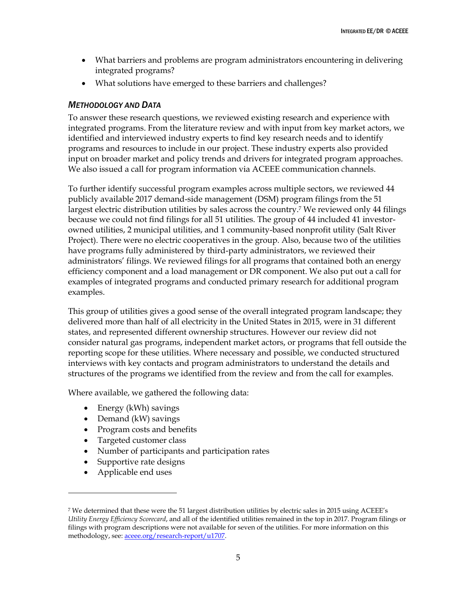- What barriers and problems are program administrators encountering in delivering integrated programs?
- What solutions have emerged to these barriers and challenges?

#### *METHODOLOGY AND DATA*

To answer these research questions, we reviewed existing research and experience with integrated programs. From the literature review and with input from key market actors, we identified and interviewed industry experts to find key research needs and to identify programs and resources to include in our project. These industry experts also provided input on broader market and policy trends and drivers for integrated program approaches. We also issued a call for program information via ACEEE communication channels.

To further identify successful program examples across multiple sectors, we reviewed 44 publicly available 2017 demand-side management (DSM) program filings from the 51 largest electric distribution utilities by sales across the country.<sup>7</sup> We reviewed only 44 filings because we could not find filings for all 51 utilities. The group of 44 included 41 investorowned utilities, 2 municipal utilities, and 1 community-based nonprofit utility (Salt River Project). There were no electric cooperatives in the group. Also, because two of the utilities have programs fully administered by third-party administrators, we reviewed their administrators' filings. We reviewed filings for all programs that contained both an energy efficiency component and a load management or DR component. We also put out a call for examples of integrated programs and conducted primary research for additional program examples.

This group of utilities gives a good sense of the overall integrated program landscape; they delivered more than half of all electricity in the United States in 2015, were in 31 different states, and represented different ownership structures. However our review did not consider natural gas programs, independent market actors, or programs that fell outside the reporting scope for these utilities. Where necessary and possible, we conducted structured interviews with key contacts and program administrators to understand the details and structures of the programs we identified from the review and from the call for examples.

Where available, we gathered the following data:

- Energy (kWh) savings
- Demand (kW) savings
- Program costs and benefits
- Targeted customer class
- Number of participants and participation rates
- Supportive rate designs
- Applicable end uses

 $\overline{a}$ 

<sup>7</sup> We determined that these were the 51 largest distribution utilities by electric sales in 2015 using ACEEE's *Utility Energy Efficiency Scorecard*, and all of the identified utilities remained in the top in 2017. Program filings or filings with program descriptions were not available for seven of the utilities. For more information on this methodology, see[: aceee.org/research-report/u1707.](https://aceee.org/research-report/u1707)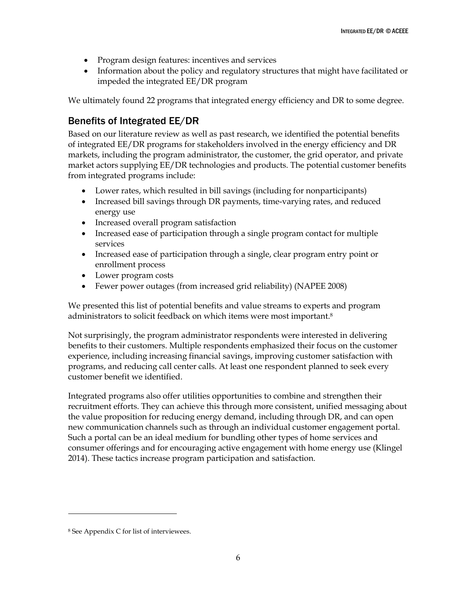- Program design features: incentives and services
- Information about the policy and regulatory structures that might have facilitated or impeded the integrated EE/DR program

We ultimately found 22 programs that integrated energy efficiency and DR to some degree.

## <span id="page-12-0"></span>Benefits of Integrated EE/DR

Based on our literature review as well as past research, we identified the potential benefits of integrated EE/DR programs for stakeholders involved in the energy efficiency and DR markets, including the program administrator, the customer, the grid operator, and private market actors supplying EE/DR technologies and products. The potential customer benefits from integrated programs include:

- Lower rates, which resulted in bill savings (including for nonparticipants)
- Increased bill savings through DR payments, time-varying rates, and reduced energy use
- Increased overall program satisfaction
- Increased ease of participation through a single program contact for multiple services
- Increased ease of participation through a single, clear program entry point or enrollment process
- Lower program costs
- Fewer power outages (from increased grid reliability) (NAPEE 2008)

We presented this list of potential benefits and value streams to experts and program administrators to solicit feedback on which items were most important.<sup>8</sup>

Not surprisingly, the program administrator respondents were interested in delivering benefits to their customers. Multiple respondents emphasized their focus on the customer experience, including increasing financial savings, improving customer satisfaction with programs, and reducing call center calls. At least one respondent planned to seek every customer benefit we identified.

Integrated programs also offer utilities opportunities to combine and strengthen their recruitment efforts. They can achieve this through more consistent, unified messaging about the value proposition for reducing energy demand, including through DR, and can open new communication channels such as through an individual customer engagement portal. Such a portal can be an ideal medium for bundling other types of home services and consumer offerings and for encouraging active engagement with home energy use (Klingel 2014). These tactics increase program participation and satisfaction.

 $\overline{a}$ 

<sup>8</sup> See Appendix C for list of interviewees.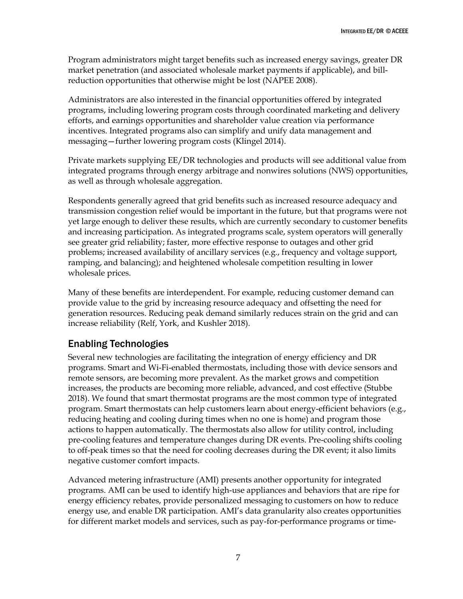Program administrators might target benefits such as increased energy savings, greater DR market penetration (and associated wholesale market payments if applicable), and billreduction opportunities that otherwise might be lost (NAPEE 2008).

Administrators are also interested in the financial opportunities offered by integrated programs, including lowering program costs through coordinated marketing and delivery efforts, and earnings opportunities and shareholder value creation via performance incentives. Integrated programs also can simplify and unify data management and messaging—further lowering program costs (Klingel 2014).

Private markets supplying EE/DR technologies and products will see additional value from integrated programs through energy arbitrage and nonwires solutions (NWS) opportunities, as well as through wholesale aggregation.

Respondents generally agreed that grid benefits such as increased resource adequacy and transmission congestion relief would be important in the future, but that programs were not yet large enough to deliver these results, which are currently secondary to customer benefits and increasing participation. As integrated programs scale, system operators will generally see greater grid reliability; faster, more effective response to outages and other grid problems; increased availability of ancillary services (e.g., frequency and voltage support, ramping, and balancing); and heightened wholesale competition resulting in lower wholesale prices.

Many of these benefits are interdependent. For example, reducing customer demand can provide value to the grid by increasing resource adequacy and offsetting the need for generation resources. Reducing peak demand similarly reduces strain on the grid and can increase reliability (Relf, York, and Kushler 2018).

# <span id="page-13-0"></span>Enabling Technologies

Several new technologies are facilitating the integration of energy efficiency and DR programs. Smart and Wi-Fi-enabled thermostats, including those with device sensors and remote sensors, are becoming more prevalent. As the market grows and competition increases, the products are becoming more reliable, advanced, and cost effective (Stubbe 2018). We found that smart thermostat programs are the most common type of integrated program. Smart thermostats can help customers learn about energy-efficient behaviors (e.g., reducing heating and cooling during times when no one is home) and program those actions to happen automatically. The thermostats also allow for utility control, including pre-cooling features and temperature changes during DR events. Pre-cooling shifts cooling to off-peak times so that the need for cooling decreases during the DR event; it also limits negative customer comfort impacts.

Advanced metering infrastructure (AMI) presents another opportunity for integrated programs. AMI can be used to identify high-use appliances and behaviors that are ripe for energy efficiency rebates, provide personalized messaging to customers on how to reduce energy use, and enable DR participation. AMI's data granularity also creates opportunities for different market models and services, such as pay-for-performance programs or time-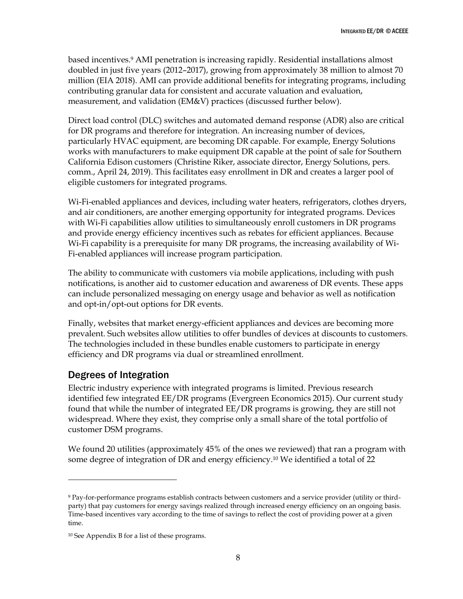based incentives.<sup>9</sup> AMI penetration is increasing rapidly. Residential installations almost doubled in just five years (2012–2017), growing from approximately 38 million to almost 70 million (EIA 2018). AMI can provide additional benefits for integrating programs, including contributing granular data for consistent and accurate valuation and evaluation, measurement, and validation (EM&V) practices (discussed further below).

Direct load control (DLC) switches and automated demand response (ADR) also are critical for DR programs and therefore for integration. An increasing number of devices, particularly HVAC equipment, are becoming DR capable. For example, Energy Solutions works with manufacturers to make equipment DR capable at the point of sale for Southern California Edison customers (Christine Riker, associate director, Energy Solutions, pers. comm., April 24, 2019). This facilitates easy enrollment in DR and creates a larger pool of eligible customers for integrated programs.

Wi-Fi-enabled appliances and devices, including water heaters, refrigerators, clothes dryers, and air conditioners, are another emerging opportunity for integrated programs. Devices with Wi-Fi capabilities allow utilities to simultaneously enroll customers in DR programs and provide energy efficiency incentives such as rebates for efficient appliances. Because Wi-Fi capability is a prerequisite for many DR programs, the increasing availability of Wi-Fi-enabled appliances will increase program participation.

The ability to communicate with customers via mobile applications, including with push notifications, is another aid to customer education and awareness of DR events. These apps can include personalized messaging on energy usage and behavior as well as notification and opt-in/opt-out options for DR events.

Finally, websites that market energy-efficient appliances and devices are becoming more prevalent. Such websites allow utilities to offer bundles of devices at discounts to customers. The technologies included in these bundles enable customers to participate in energy efficiency and DR programs via dual or streamlined enrollment.

## <span id="page-14-0"></span>Degrees of Integration

 $\overline{a}$ 

Electric industry experience with integrated programs is limited. Previous research identified few integrated EE/DR programs (Evergreen Economics 2015). Our current study found that while the number of integrated EE/DR programs is growing, they are still not widespread. Where they exist, they comprise only a small share of the total portfolio of customer DSM programs.

We found 20 utilities (approximately 45% of the ones we reviewed) that ran a program with some degree of integration of DR and energy efficiency.<sup>10</sup> We identified a total of 22

<sup>9</sup> Pay-for-performance programs establish contracts between customers and a service provider (utility or thirdparty) that pay customers for energy savings realized through increased energy efficiency on an ongoing basis. Time-based incentives vary according to the time of savings to reflect the cost of providing power at a given time.

<sup>10</sup> See Appendix B for a list of these programs.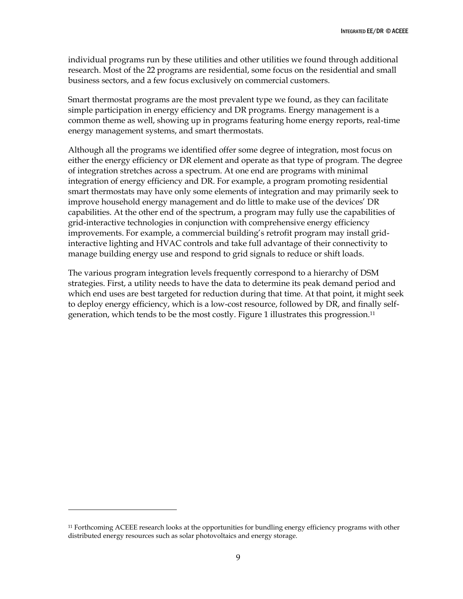individual programs run by these utilities and other utilities we found through additional research. Most of the 22 programs are residential, some focus on the residential and small business sectors, and a few focus exclusively on commercial customers.

Smart thermostat programs are the most prevalent type we found, as they can facilitate simple participation in energy efficiency and DR programs. Energy management is a common theme as well, showing up in programs featuring home energy reports, real-time energy management systems, and smart thermostats.

Although all the programs we identified offer some degree of integration, most focus on either the energy efficiency or DR element and operate as that type of program. The degree of integration stretches across a spectrum. At one end are programs with minimal integration of energy efficiency and DR. For example, a program promoting residential smart thermostats may have only some elements of integration and may primarily seek to improve household energy management and do little to make use of the devices' DR capabilities. At the other end of the spectrum, a program may fully use the capabilities of grid-interactive technologies in conjunction with comprehensive energy efficiency improvements. For example, a commercial building's retrofit program may install gridinteractive lighting and HVAC controls and take full advantage of their connectivity to manage building energy use and respond to grid signals to reduce or shift loads.

The various program integration levels frequently correspond to a hierarchy of DSM strategies. First, a utility needs to have the data to determine its peak demand period and which end uses are best targeted for reduction during that time. At that point, it might seek to deploy energy efficiency, which is a low-cost resource, followed by DR, and finally selfgeneration, which tends to be the most costly. Figure 1 illustrates this progression.<sup>11</sup>

 $\overline{a}$ 

<sup>11</sup> Forthcoming ACEEE research looks at the opportunities for bundling energy efficiency programs with other distributed energy resources such as solar photovoltaics and energy storage.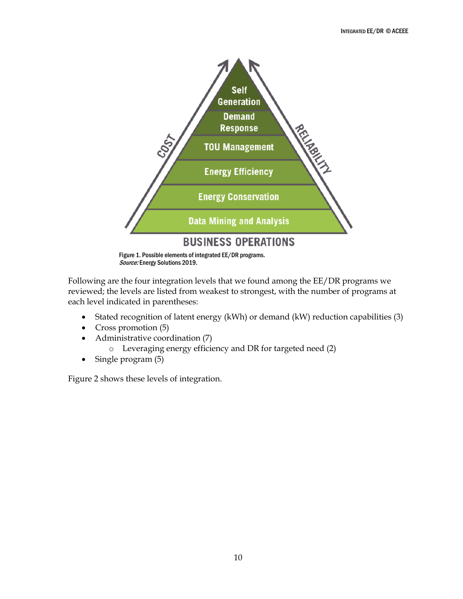

Source: Energy Solutions 2019.

Following are the four integration levels that we found among the EE/DR programs we reviewed; the levels are listed from weakest to strongest, with the number of programs at each level indicated in parentheses:

- Stated recognition of latent energy (kWh) or demand (kW) reduction capabilities (3)
- Cross promotion (5)
- Administrative coordination (7)
	- o Leveraging energy efficiency and DR for targeted need (2)
- Single program (5)

Figure 2 shows these levels of integration.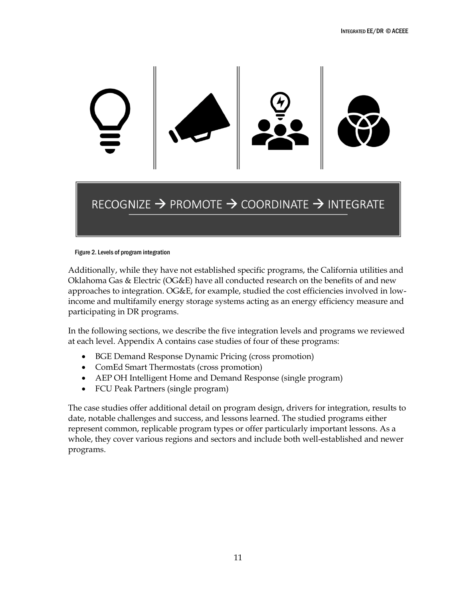

# RECOGNIZE  $\rightarrow$  PROMOTE  $\rightarrow$  COORDINATE  $\rightarrow$  INTEGRATE

#### Figure 2. Levels of program integration

Additionally, while they have not established specific programs, the California utilities and Oklahoma Gas & Electric (OG&E) have all conducted research on the benefits of and new approaches to integration. OG&E, for example, studied the cost efficiencies involved in lowincome and multifamily energy storage systems acting as an energy efficiency measure and participating in DR programs.

In the following sections, we describe the five integration levels and programs we reviewed at each level. Appendix A contains case studies of four of these programs:

- BGE Demand Response Dynamic Pricing (cross promotion)
- ComEd Smart Thermostats (cross promotion)
- AEP OH Intelligent Home and Demand Response (single program)
- FCU Peak Partners (single program)

The case studies offer additional detail on program design, drivers for integration, results to date, notable challenges and success, and lessons learned. The studied programs either represent common, replicable program types or offer particularly important lessons. As a whole, they cover various regions and sectors and include both well-established and newer programs.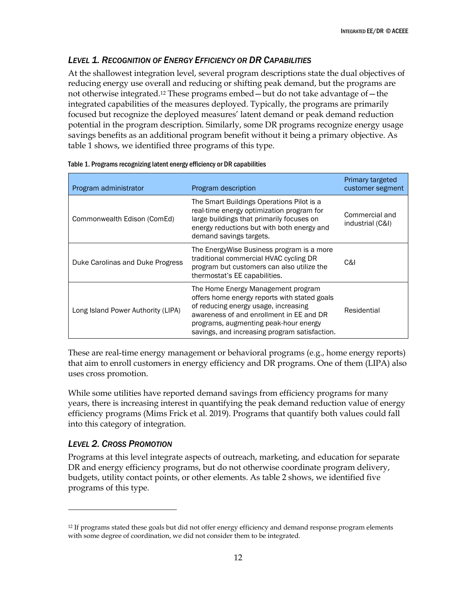### <span id="page-18-0"></span>*LEVEL 1. RECOGNITION OF ENERGY EFFICIENCY OR DR CAPABILITIES*

At the shallowest integration level, several program descriptions state the dual objectives of reducing energy use overall and reducing or shifting peak demand, but the programs are not otherwise integrated.<sup>12</sup> These programs embed—but do not take advantage of—the integrated capabilities of the measures deployed. Typically, the programs are primarily focused but recognize the deployed measures' latent demand or peak demand reduction potential in the program description. Similarly, some DR programs recognize energy usage savings benefits as an additional program benefit without it being a primary objective. As table 1 shows, we identified three programs of this type.

| Program administrator              | Program description                                                                                                                                                                                                                                              | Primary targeted<br>customer segment |
|------------------------------------|------------------------------------------------------------------------------------------------------------------------------------------------------------------------------------------------------------------------------------------------------------------|--------------------------------------|
| Commonwealth Edison (ComEd)        | The Smart Buildings Operations Pilot is a<br>real-time energy optimization program for<br>large buildings that primarily focuses on<br>energy reductions but with both energy and<br>demand savings targets.                                                     | Commercial and<br>industrial (C&I)   |
| Duke Carolinas and Duke Progress   | The EnergyWise Business program is a more<br>traditional commercial HVAC cycling DR<br>program but customers can also utilize the<br>thermostat's EE capabilities.                                                                                               | C&I                                  |
| Long Island Power Authority (LIPA) | The Home Energy Management program<br>offers home energy reports with stated goals<br>of reducing energy usage, increasing<br>awareness of and enrollment in EE and DR<br>programs, augmenting peak-hour energy<br>savings, and increasing program satisfaction. | Residential                          |

|  | Table 1. Programs recognizing latent energy efficiency or DR capabilities |
|--|---------------------------------------------------------------------------|
|  |                                                                           |

These are real-time energy management or behavioral programs (e.g., home energy reports) that aim to enroll customers in energy efficiency and DR programs. One of them (LIPA) also uses cross promotion.

While some utilities have reported demand savings from efficiency programs for many years, there is increasing interest in quantifying the peak demand reduction value of energy efficiency programs (Mims Frick et al. 2019). Programs that quantify both values could fall into this category of integration.

#### <span id="page-18-1"></span>*LEVEL 2. CROSS PROMOTION*

 $\overline{a}$ 

Programs at this level integrate aspects of outreach, marketing, and education for separate DR and energy efficiency programs, but do not otherwise coordinate program delivery, budgets, utility contact points, or other elements. As table 2 shows, we identified five programs of this type.

<sup>&</sup>lt;sup>12</sup> If programs stated these goals but did not offer energy efficiency and demand response program elements with some degree of coordination, we did not consider them to be integrated.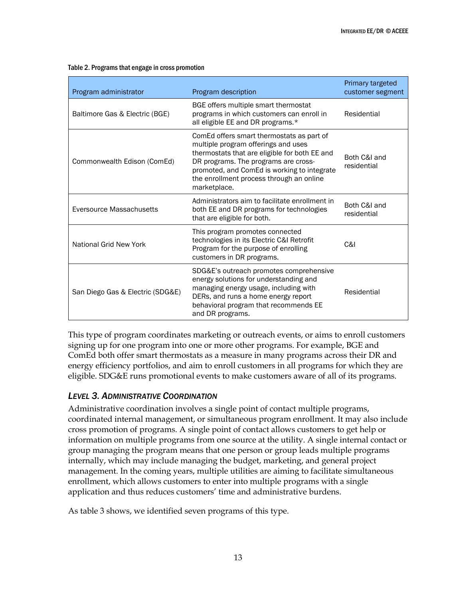| Program administrator            | Program description                                                                                                                                                                                                                                                                  | Primary targeted<br>customer segment |
|----------------------------------|--------------------------------------------------------------------------------------------------------------------------------------------------------------------------------------------------------------------------------------------------------------------------------------|--------------------------------------|
| Baltimore Gas & Electric (BGE)   | BGE offers multiple smart thermostat<br>programs in which customers can enroll in<br>all eligible EE and DR programs.*                                                                                                                                                               | Residential                          |
| Commonwealth Edison (ComEd)      | ComEd offers smart thermostats as part of<br>multiple program offerings and uses<br>thermostats that are eligible for both EE and<br>DR programs. The programs are cross-<br>promoted, and ComEd is working to integrate<br>the enrollment process through an online<br>marketplace. | Both C&I and<br>residential          |
| Eversource Massachusetts         | Administrators aim to facilitate enrollment in<br>both EE and DR programs for technologies<br>that are eligible for both.                                                                                                                                                            | Both C&I and<br>residential          |
| National Grid New York           | This program promotes connected<br>technologies in its Electric C&I Retrofit<br>Program for the purpose of enrolling<br>customers in DR programs.                                                                                                                                    | C&I                                  |
| San Diego Gas & Electric (SDG&E) | SDG&E's outreach promotes comprehensive<br>energy solutions for understanding and<br>managing energy usage, including with<br>DERs, and runs a home energy report<br>behavioral program that recommends EE<br>and DR programs.                                                       | Residential                          |

#### Table 2. Programs that engage in cross promotion

This type of program coordinates marketing or outreach events, or aims to enroll customers signing up for one program into one or more other programs. For example, BGE and ComEd both offer smart thermostats as a measure in many programs across their DR and energy efficiency portfolios, and aim to enroll customers in all programs for which they are eligible. SDG&E runs promotional events to make customers aware of all of its programs.

### <span id="page-19-0"></span>*LEVEL 3. ADMINISTRATIVE COORDINATION*

Administrative coordination involves a single point of contact multiple programs, coordinated internal management, or simultaneous program enrollment. It may also include cross promotion of programs. A single point of contact allows customers to get help or information on multiple programs from one source at the utility. A single internal contact or group managing the program means that one person or group leads multiple programs internally, which may include managing the budget, marketing, and general project management. In the coming years, multiple utilities are aiming to facilitate simultaneous enrollment, which allows customers to enter into multiple programs with a single application and thus reduces customers' time and administrative burdens.

As table 3 shows, we identified seven programs of this type.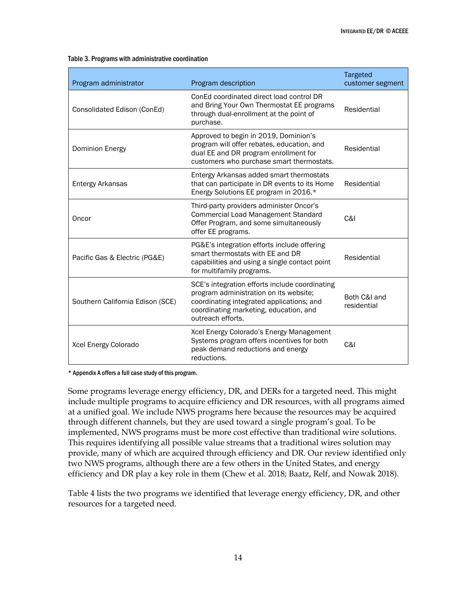#### Table 3. Programs with administrative coordination

| Program administrator            | Program description                                                                                                                                                                                  | Targeted<br>customer segment |
|----------------------------------|------------------------------------------------------------------------------------------------------------------------------------------------------------------------------------------------------|------------------------------|
| Consolidated Edison (ConEd)      | ConEd coordinated direct load control DR<br>and Bring Your Own Thermostat EE programs<br>through dual-enrollment at the point of<br>purchase.                                                        | Residential                  |
| <b>Dominion Energy</b>           | Approved to begin in 2019, Dominion's<br>program will offer rebates, education, and<br>dual EE and DR program enrollment for<br>customers who purchase smart thermostats.                            | Residential                  |
| Entergy Arkansas                 | Entergy Arkansas added smart thermostats<br>that can participate in DR events to its Home<br>Energy Solutions EE program in 2016.*                                                                   | Residential                  |
| Oncor                            | Third-party providers administer Oncor's<br><b>Commercial Load Management Standard</b><br>Offer Program, and some simultaneously<br>offer EE programs.                                               | C&I                          |
| Pacific Gas & Electric (PG&E)    | PG&E's integration efforts include offering<br>smart thermostats with EE and DR<br>capabilities and using a single contact point<br>for multifamily programs.                                        | Residential                  |
| Southern California Edison (SCE) | SCE's integration efforts include coordinating<br>program administration on its website;<br>coordinating integrated applications; and<br>coordinating marketing, education, and<br>outreach efforts. | Both C&I and<br>residential  |
| Xcel Energy Colorado             | Xcel Energy Colorado's Energy Management<br>Systems program offers incentives for both<br>peak demand reductions and energy<br>reductions.                                                           | C&I                          |

\* Appendix A offers a full case study of this program.

Some programs leverage energy efficiency, DR, and DERs for a targeted need. This might include multiple programs to acquire efficiency and DR resources, with all programs aimed at a unified goal. We include NWS programs here because the resources may be acquired through different channels, but they are used toward a single program's goal. To be implemented, NWS programs must be more cost effective than traditional wire solutions. This requires identifying all possible value streams that a traditional wires solution may provide, many of which are acquired through efficiency and DR. Our review identified only two NWS programs, although there are a few others in the United States, and energy efficiency and DR play a key role in them (Chew et al. 2018; Baatz, Relf, and Nowak 2018).

Table 4 lists the two programs we identified that leverage energy efficiency, DR, and other resources for a targeted need.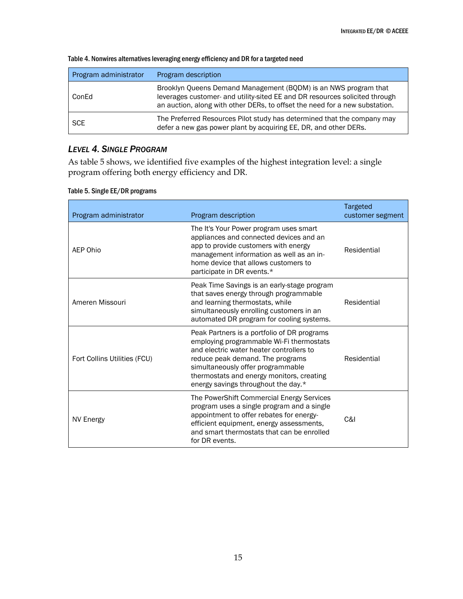| Program administrator | Program description                                                                                                                                                                                                           |
|-----------------------|-------------------------------------------------------------------------------------------------------------------------------------------------------------------------------------------------------------------------------|
| ConEd                 | Brooklyn Queens Demand Management (BQDM) is an NWS program that<br>leverages customer- and utility-sited EE and DR resources solicited through<br>an auction, along with other DERs, to offset the need for a new substation. |
| <b>SCE</b>            | The Preferred Resources Pilot study has determined that the company may<br>defer a new gas power plant by acquiring EE, DR, and other DERs.                                                                                   |

#### Table 4. Nonwires alternatives leveraging energy efficiency and DR for a targeted need

### <span id="page-21-0"></span>*LEVEL 4. SINGLE PROGRAM*

As table 5 shows, we identified five examples of the highest integration level: a single program offering both energy efficiency and DR.

| Program administrator        | Program description                                                                                                                                                                                                                                                                              | Targeted<br>customer segment |
|------------------------------|--------------------------------------------------------------------------------------------------------------------------------------------------------------------------------------------------------------------------------------------------------------------------------------------------|------------------------------|
| AEP Ohio                     | The It's Your Power program uses smart<br>appliances and connected devices and an<br>app to provide customers with energy<br>management information as well as an in-<br>home device that allows customers to<br>participate in DR events.*                                                      | Residential                  |
| Ameren Missouri              | Peak Time Savings is an early-stage program<br>that saves energy through programmable<br>and learning thermostats, while<br>simultaneously enrolling customers in an<br>automated DR program for cooling systems.                                                                                | Residential                  |
| Fort Collins Utilities (FCU) | Peak Partners is a portfolio of DR programs<br>employing programmable Wi-Fi thermostats<br>and electric water heater controllers to<br>reduce peak demand. The programs<br>simultaneously offer programmable<br>thermostats and energy monitors, creating<br>energy savings throughout the day.* | Residential                  |
| NV Energy                    | The PowerShift Commercial Energy Services<br>program uses a single program and a single<br>appointment to offer rebates for energy-<br>efficient equipment, energy assessments,<br>and smart thermostats that can be enrolled<br>for DR events.                                                  | C&I                          |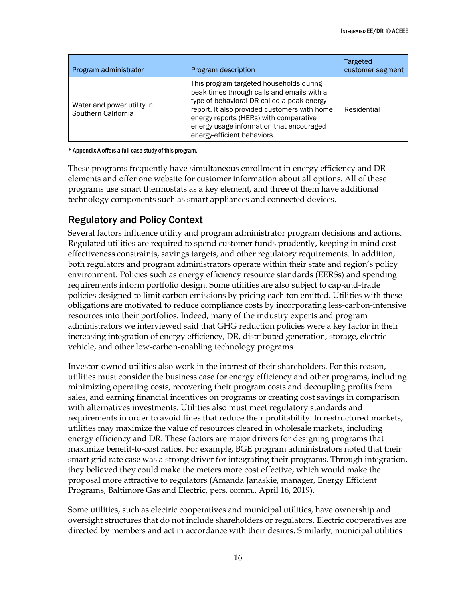| Program administrator                             | Program description                                                                                                                                                                                                                                                                                      | Targeted<br>customer segment |
|---------------------------------------------------|----------------------------------------------------------------------------------------------------------------------------------------------------------------------------------------------------------------------------------------------------------------------------------------------------------|------------------------------|
| Water and power utility in<br>Southern California | This program targeted households during<br>peak times through calls and emails with a<br>type of behavioral DR called a peak energy<br>report. It also provided customers with home<br>energy reports (HERs) with comparative<br>energy usage information that encouraged<br>energy-efficient behaviors. | Residential                  |

\* Appendix A offers a full case study of this program.

These programs frequently have simultaneous enrollment in energy efficiency and DR elements and offer one website for customer information about all options. All of these programs use smart thermostats as a key element, and three of them have additional technology components such as smart appliances and connected devices.

# <span id="page-22-0"></span>Regulatory and Policy Context

Several factors influence utility and program administrator program decisions and actions. Regulated utilities are required to spend customer funds prudently, keeping in mind costeffectiveness constraints, savings targets, and other regulatory requirements. In addition, both regulators and program administrators operate within their state and region's policy environment. Policies such as energy efficiency resource standards (EERSs) and spending requirements inform portfolio design. Some utilities are also subject to cap-and-trade policies designed to limit carbon emissions by pricing each ton emitted. Utilities with these obligations are motivated to reduce compliance costs by incorporating less-carbon-intensive resources into their portfolios. Indeed, many of the industry experts and program administrators we interviewed said that GHG reduction policies were a key factor in their increasing integration of energy efficiency, DR, distributed generation, storage, electric vehicle, and other low-carbon-enabling technology programs.

Investor-owned utilities also work in the interest of their shareholders. For this reason, utilities must consider the business case for energy efficiency and other programs, including minimizing operating costs, recovering their program costs and decoupling profits from sales, and earning financial incentives on programs or creating cost savings in comparison with alternatives investments. Utilities also must meet regulatory standards and requirements in order to avoid fines that reduce their profitability. In restructured markets, utilities may maximize the value of resources cleared in wholesale markets, including energy efficiency and DR. These factors are major drivers for designing programs that maximize benefit-to-cost ratios. For example, BGE program administrators noted that their smart grid rate case was a strong driver for integrating their programs. Through integration, they believed they could make the meters more cost effective, which would make the proposal more attractive to regulators (Amanda Janaskie, manager, Energy Efficient Programs, Baltimore Gas and Electric, pers. comm., April 16, 2019).

Some utilities, such as electric cooperatives and municipal utilities, have ownership and oversight structures that do not include shareholders or regulators. Electric cooperatives are directed by members and act in accordance with their desires. Similarly, municipal utilities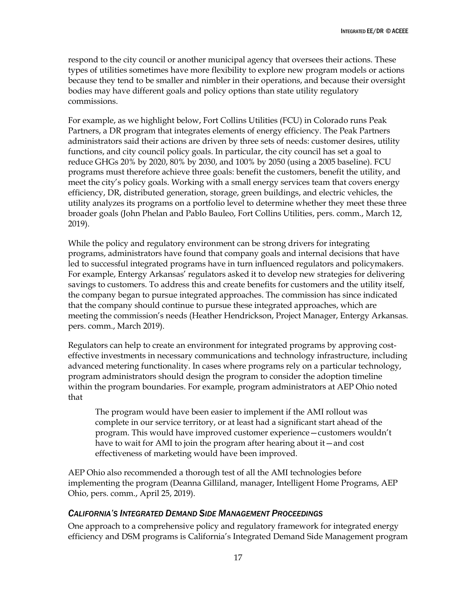respond to the city council or another municipal agency that oversees their actions. These types of utilities sometimes have more flexibility to explore new program models or actions because they tend to be smaller and nimbler in their operations, and because their oversight bodies may have different goals and policy options than state utility regulatory commissions.

For example, as we highlight below, Fort Collins Utilities (FCU) in Colorado runs Peak Partners, a DR program that integrates elements of energy efficiency. The Peak Partners administrators said their actions are driven by three sets of needs: customer desires, utility functions, and city council policy goals. In particular, the city council has set a goal to reduce GHGs 20% by 2020, 80% by 2030, and 100% by 2050 (using a 2005 baseline). FCU programs must therefore achieve three goals: benefit the customers, benefit the utility, and meet the city's policy goals. Working with a small energy services team that covers energy efficiency, DR, distributed generation, storage, green buildings, and electric vehicles, the utility analyzes its programs on a portfolio level to determine whether they meet these three broader goals (John Phelan and Pablo Bauleo, Fort Collins Utilities, pers. comm., March 12, 2019).

While the policy and regulatory environment can be strong drivers for integrating programs, administrators have found that company goals and internal decisions that have led to successful integrated programs have in turn influenced regulators and policymakers. For example, Entergy Arkansas' regulators asked it to develop new strategies for delivering savings to customers. To address this and create benefits for customers and the utility itself, the company began to pursue integrated approaches. The commission has since indicated that the company should continue to pursue these integrated approaches, which are meeting the commission's needs (Heather Hendrickson, Project Manager, Entergy Arkansas. pers. comm., March 2019).

Regulators can help to create an environment for integrated programs by approving costeffective investments in necessary communications and technology infrastructure, including advanced metering functionality. In cases where programs rely on a particular technology, program administrators should design the program to consider the adoption timeline within the program boundaries. For example, program administrators at AEP Ohio noted that

The program would have been easier to implement if the AMI rollout was complete in our service territory, or at least had a significant start ahead of the program. This would have improved customer experience—customers wouldn't have to wait for AMI to join the program after hearing about it—and cost effectiveness of marketing would have been improved.

AEP Ohio also recommended a thorough test of all the AMI technologies before implementing the program (Deanna Gilliland, manager, Intelligent Home Programs, AEP Ohio, pers. comm., April 25, 2019).

#### <span id="page-23-0"></span>*CALIFORNIA'S INTEGRATED DEMAND SIDE MANAGEMENT PROCEEDINGS*

One approach to a comprehensive policy and regulatory framework for integrated energy efficiency and DSM programs is California's Integrated Demand Side Management program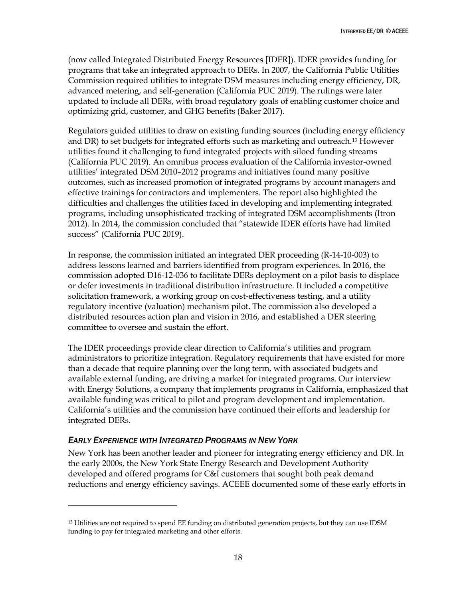(now called Integrated Distributed Energy Resources [IDER]). IDER provides funding for programs that take an integrated approach to DERs. In 2007, the California Public Utilities Commission required utilities to integrate DSM measures including energy efficiency, DR, advanced metering, and self-generation (California PUC 2019). The rulings were later updated to include all DERs, with broad regulatory goals of enabling customer choice and optimizing grid, customer, and GHG benefits (Baker 2017).

Regulators guided utilities to draw on existing funding sources (including energy efficiency and DR) to set budgets for integrated efforts such as marketing and outreach.<sup>13</sup> However utilities found it challenging to fund integrated projects with siloed funding streams (California PUC 2019). An omnibus process evaluation of the California investor-owned utilities' integrated DSM 2010–2012 programs and initiatives found many positive outcomes, such as increased promotion of integrated programs by account managers and effective trainings for contractors and implementers. The report also highlighted the difficulties and challenges the utilities faced in developing and implementing integrated programs, including unsophisticated tracking of integrated DSM accomplishments (Itron 2012). In 2014, the commission concluded that "statewide IDER efforts have had limited success" (California PUC 2019).

In response, the commission initiated an integrated DER proceeding (R-14-10-003) to address lessons learned and barriers identified from program experiences. In 2016, the commission adopted D16-12-036 to facilitate DERs deployment on a pilot basis to displace or defer investments in traditional distribution infrastructure. It included a competitive solicitation framework, a working group on cost-effectiveness testing, and a utility regulatory incentive (valuation) mechanism pilot. The commission also developed a distributed resources action plan and vision in 2016, and established a DER steering committee to oversee and sustain the effort.

The IDER proceedings provide clear direction to California's utilities and program administrators to prioritize integration. Regulatory requirements that have existed for more than a decade that require planning over the long term, with associated budgets and available external funding, are driving a market for integrated programs. Our interview with Energy Solutions, a company that implements programs in California, emphasized that available funding was critical to pilot and program development and implementation. California's utilities and the commission have continued their efforts and leadership for integrated DERs.

### <span id="page-24-0"></span>*EARLY EXPERIENCE WITH INTEGRATED PROGRAMS IN NEW YORK*

 $\overline{a}$ 

New York has been another leader and pioneer for integrating energy efficiency and DR. In the early 2000s, the New York State Energy Research and Development Authority developed and offered programs for C&I customers that sought both peak demand reductions and energy efficiency savings. ACEEE documented some of these early efforts in

<sup>&</sup>lt;sup>13</sup> Utilities are not required to spend EE funding on distributed generation projects, but they can use IDSM funding to pay for integrated marketing and other efforts.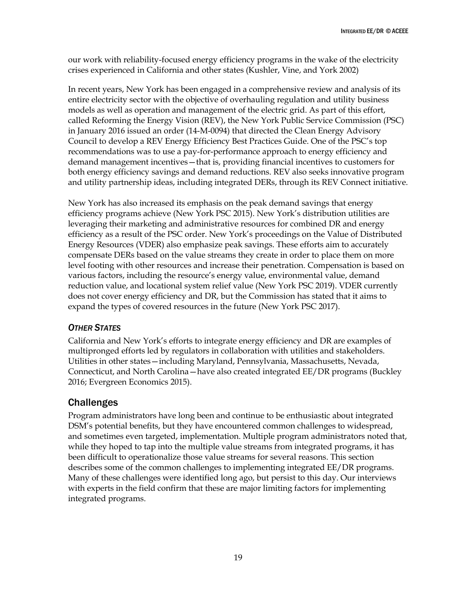our work with reliability-focused energy efficiency programs in the wake of the electricity crises experienced in California and other states (Kushler, Vine, and York 2002)

In recent years, New York has been engaged in a comprehensive review and analysis of its entire electricity sector with the objective of overhauling regulation and utility business models as well as operation and management of the electric grid. As part of this effort, called Reforming the Energy Vision (REV), the New York Public Service Commission (PSC) in January 2016 issued an order (14-M-0094) that directed the Clean Energy Advisory Council to develop a REV Energy Efficiency Best Practices Guide. One of the PSC's top recommendations was to use a pay-for-performance approach to energy efficiency and demand management incentives—that is, providing financial incentives to customers for both energy efficiency savings and demand reductions. REV also seeks innovative program and utility partnership ideas, including integrated DERs, through its REV Connect initiative.

New York has also increased its emphasis on the peak demand savings that energy efficiency programs achieve (New York PSC 2015). New York's distribution utilities are leveraging their marketing and administrative resources for combined DR and energy efficiency as a result of the PSC order. New York's proceedings on the Value of Distributed Energy Resources (VDER) also emphasize peak savings. These efforts aim to accurately compensate DERs based on the value streams they create in order to place them on more level footing with other resources and increase their penetration. Compensation is based on various factors, including the resource's energy value, environmental value, demand reduction value, and locational system relief value (New York PSC 2019). VDER currently does not cover energy efficiency and DR, but the Commission has stated that it aims to expand the types of covered resources in the future (New York PSC 2017).

### <span id="page-25-0"></span>*OTHER STATES*

California and New York's efforts to integrate energy efficiency and DR are examples of multipronged efforts led by regulators in collaboration with utilities and stakeholders. Utilities in other states—including Maryland, Pennsylvania, Massachusetts, Nevada, Connecticut, and North Carolina—have also created integrated EE/DR programs (Buckley 2016; Evergreen Economics 2015).

# <span id="page-25-1"></span>Challenges

Program administrators have long been and continue to be enthusiastic about integrated DSM's potential benefits, but they have encountered common challenges to widespread, and sometimes even targeted, implementation. Multiple program administrators noted that, while they hoped to tap into the multiple value streams from integrated programs, it has been difficult to operationalize those value streams for several reasons. This section describes some of the common challenges to implementing integrated EE/DR programs. Many of these challenges were identified long ago, but persist to this day. Our interviews with experts in the field confirm that these are major limiting factors for implementing integrated programs.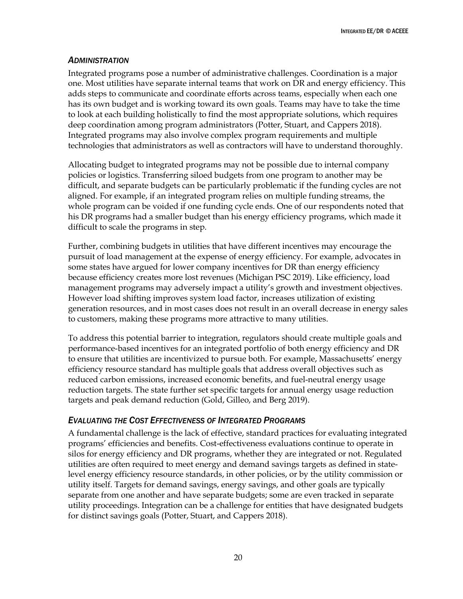#### <span id="page-26-0"></span>*ADMINISTRATION*

Integrated programs pose a number of administrative challenges. Coordination is a major one. Most utilities have separate internal teams that work on DR and energy efficiency. This adds steps to communicate and coordinate efforts across teams, especially when each one has its own budget and is working toward its own goals. Teams may have to take the time to look at each building holistically to find the most appropriate solutions, which requires deep coordination among program administrators (Potter, Stuart, and Cappers 2018). Integrated programs may also involve complex program requirements and multiple technologies that administrators as well as contractors will have to understand thoroughly.

Allocating budget to integrated programs may not be possible due to internal company policies or logistics. Transferring siloed budgets from one program to another may be difficult, and separate budgets can be particularly problematic if the funding cycles are not aligned. For example, if an integrated program relies on multiple funding streams, the whole program can be voided if one funding cycle ends. One of our respondents noted that his DR programs had a smaller budget than his energy efficiency programs, which made it difficult to scale the programs in step.

Further, combining budgets in utilities that have different incentives may encourage the pursuit of load management at the expense of energy efficiency. For example, advocates in some states have argued for lower company incentives for DR than energy efficiency because efficiency creates more lost revenues (Michigan PSC 2019). Like efficiency, load management programs may adversely impact a utility's growth and investment objectives. However load shifting improves system load factor, increases utilization of existing generation resources, and in most cases does not result in an overall decrease in energy sales to customers, making these programs more attractive to many utilities.

To address this potential barrier to integration, regulators should create multiple goals and performance-based incentives for an integrated portfolio of both energy efficiency and DR to ensure that utilities are incentivized to pursue both. For example, Massachusetts' energy efficiency resource standard has multiple goals that address overall objectives such as reduced carbon emissions, increased economic benefits, and fuel-neutral energy usage reduction targets. The state further set specific targets for annual energy usage reduction targets and peak demand reduction (Gold, Gilleo, and Berg 2019).

### <span id="page-26-1"></span>*EVALUATING THE COST EFFECTIVENESS OF INTEGRATED PROGRAMS*

A fundamental challenge is the lack of effective, standard practices for evaluating integrated programs' efficiencies and benefits. Cost-effectiveness evaluations continue to operate in silos for energy efficiency and DR programs, whether they are integrated or not. Regulated utilities are often required to meet energy and demand savings targets as defined in statelevel energy efficiency resource standards, in other policies, or by the utility commission or utility itself. Targets for demand savings, energy savings, and other goals are typically separate from one another and have separate budgets; some are even tracked in separate utility proceedings. Integration can be a challenge for entities that have designated budgets for distinct savings goals (Potter, Stuart, and Cappers 2018).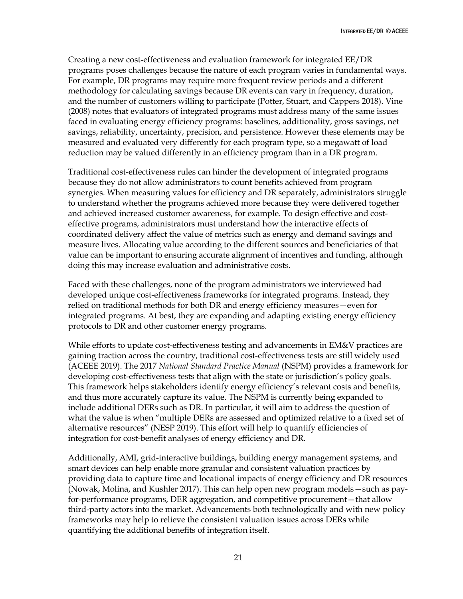Creating a new cost-effectiveness and evaluation framework for integrated EE/DR programs poses challenges because the nature of each program varies in fundamental ways. For example, DR programs may require more frequent review periods and a different methodology for calculating savings because DR events can vary in frequency, duration, and the number of customers willing to participate (Potter, Stuart, and Cappers 2018). Vine (2008) notes that evaluators of integrated programs must address many of the same issues faced in evaluating energy efficiency programs: baselines, additionality, gross savings, net savings, reliability, uncertainty, precision, and persistence. However these elements may be measured and evaluated very differently for each program type, so a megawatt of load reduction may be valued differently in an efficiency program than in a DR program.

Traditional cost-effectiveness rules can hinder the development of integrated programs because they do not allow administrators to count benefits achieved from program synergies. When measuring values for efficiency and DR separately, administrators struggle to understand whether the programs achieved more because they were delivered together and achieved increased customer awareness, for example. To design effective and costeffective programs, administrators must understand how the interactive effects of coordinated delivery affect the value of metrics such as energy and demand savings and measure lives. Allocating value according to the different sources and beneficiaries of that value can be important to ensuring accurate alignment of incentives and funding, although doing this may increase evaluation and administrative costs.

Faced with these challenges, none of the program administrators we interviewed had developed unique cost-effectiveness frameworks for integrated programs. Instead, they relied on traditional methods for both DR and energy efficiency measures—even for integrated programs. At best, they are expanding and adapting existing energy efficiency protocols to DR and other customer energy programs.

While efforts to update cost-effectiveness testing and advancements in EM&V practices are gaining traction across the country, traditional cost-effectiveness tests are still widely used (ACEEE 2019). The 2017 *National Standard Practice Manual* (NSPM) provides a framework for developing cost-effectiveness tests that align with the state or jurisdiction's policy goals. This framework helps stakeholders identify energy efficiency's relevant costs and benefits, and thus more accurately capture its value. The NSPM is currently being expanded to include additional DERs such as DR. In particular, it will aim to address the question of what the value is when "multiple DERs are assessed and optimized relative to a fixed set of alternative resources" (NESP 2019). This effort will help to quantify efficiencies of integration for cost-benefit analyses of energy efficiency and DR.

Additionally, AMI, grid-interactive buildings, building energy management systems, and smart devices can help enable more granular and consistent valuation practices by providing data to capture time and locational impacts of energy efficiency and DR resources (Nowak, Molina, and Kushler 2017). This can help open new program models—such as payfor-performance programs, DER aggregation, and competitive procurement—that allow third-party actors into the market. Advancements both technologically and with new policy frameworks may help to relieve the consistent valuation issues across DERs while quantifying the additional benefits of integration itself.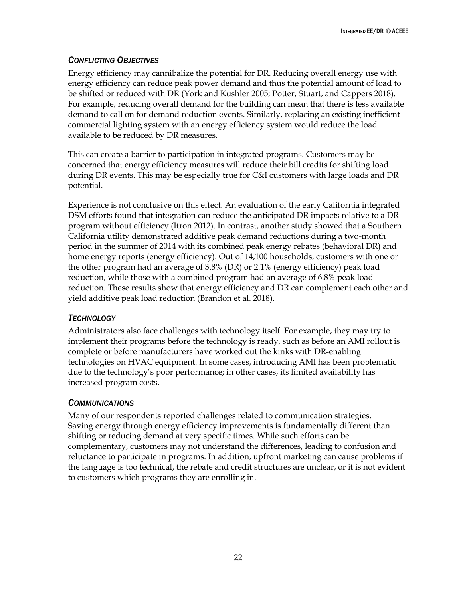### <span id="page-28-0"></span>*CONFLICTING OBJECTIVES*

Energy efficiency may cannibalize the potential for DR. Reducing overall energy use with energy efficiency can reduce peak power demand and thus the potential amount of load to be shifted or reduced with DR (York and Kushler 2005; Potter, Stuart, and Cappers 2018). For example, reducing overall demand for the building can mean that there is less available demand to call on for demand reduction events. Similarly, replacing an existing inefficient commercial lighting system with an energy efficiency system would reduce the load available to be reduced by DR measures.

This can create a barrier to participation in integrated programs. Customers may be concerned that energy efficiency measures will reduce their bill credits for shifting load during DR events. This may be especially true for C&I customers with large loads and DR potential.

Experience is not conclusive on this effect. An evaluation of the early California integrated DSM efforts found that integration can reduce the anticipated DR impacts relative to a DR program without efficiency (Itron 2012). In contrast, another study showed that a Southern California utility demonstrated additive peak demand reductions during a two-month period in the summer of 2014 with its combined peak energy rebates (behavioral DR) and home energy reports (energy efficiency). Out of 14,100 households, customers with one or the other program had an average of 3.8% (DR) or 2.1% (energy efficiency) peak load reduction, while those with a combined program had an average of 6.8% peak load reduction. These results show that energy efficiency and DR can complement each other and yield additive peak load reduction (Brandon et al. 2018).

### <span id="page-28-1"></span>*TECHNOLOGY*

Administrators also face challenges with technology itself. For example, they may try to implement their programs before the technology is ready, such as before an AMI rollout is complete or before manufacturers have worked out the kinks with DR-enabling technologies on HVAC equipment. In some cases, introducing AMI has been problematic due to the technology's poor performance; in other cases, its limited availability has increased program costs.

### <span id="page-28-2"></span>*COMMUNICATIONS*

Many of our respondents reported challenges related to communication strategies. Saving energy through energy efficiency improvements is fundamentally different than shifting or reducing demand at very specific times. While such efforts can be complementary, customers may not understand the differences, leading to confusion and reluctance to participate in programs. In addition, upfront marketing can cause problems if the language is too technical, the rebate and credit structures are unclear, or it is not evident to customers which programs they are enrolling in.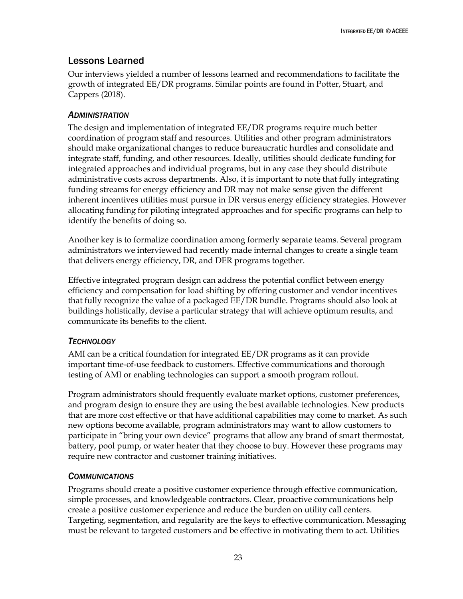# <span id="page-29-0"></span>Lessons Learned

Our interviews yielded a number of lessons learned and recommendations to facilitate the growth of integrated EE/DR programs. Similar points are found in Potter, Stuart, and Cappers (2018).

#### <span id="page-29-1"></span>*ADMINISTRATION*

The design and implementation of integrated EE/DR programs require much better coordination of program staff and resources. Utilities and other program administrators should make organizational changes to reduce bureaucratic hurdles and consolidate and integrate staff, funding, and other resources. Ideally, utilities should dedicate funding for integrated approaches and individual programs, but in any case they should distribute administrative costs across departments. Also, it is important to note that fully integrating funding streams for energy efficiency and DR may not make sense given the different inherent incentives utilities must pursue in DR versus energy efficiency strategies. However allocating funding for piloting integrated approaches and for specific programs can help to identify the benefits of doing so.

Another key is to formalize coordination among formerly separate teams. Several program administrators we interviewed had recently made internal changes to create a single team that delivers energy efficiency, DR, and DER programs together.

Effective integrated program design can address the potential conflict between energy efficiency and compensation for load shifting by offering customer and vendor incentives that fully recognize the value of a packaged EE/DR bundle. Programs should also look at buildings holistically, devise a particular strategy that will achieve optimum results, and communicate its benefits to the client.

### <span id="page-29-2"></span>*TECHNOLOGY*

AMI can be a critical foundation for integrated EE/DR programs as it can provide important time-of-use feedback to customers. Effective communications and thorough testing of AMI or enabling technologies can support a smooth program rollout.

Program administrators should frequently evaluate market options, customer preferences, and program design to ensure they are using the best available technologies. New products that are more cost effective or that have additional capabilities may come to market. As such new options become available, program administrators may want to allow customers to participate in "bring your own device" programs that allow any brand of smart thermostat, battery, pool pump, or water heater that they choose to buy. However these programs may require new contractor and customer training initiatives.

### <span id="page-29-3"></span>*COMMUNICATIONS*

Programs should create a positive customer experience through effective communication, simple processes, and knowledgeable contractors. Clear, proactive communications help create a positive customer experience and reduce the burden on utility call centers. Targeting, segmentation, and regularity are the keys to effective communication. Messaging must be relevant to targeted customers and be effective in motivating them to act. Utilities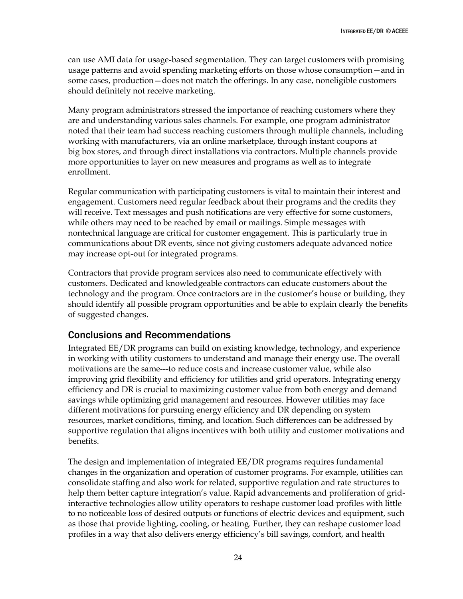can use AMI data for usage-based segmentation. They can target customers with promising usage patterns and avoid spending marketing efforts on those whose consumption—and in some cases, production—does not match the offerings. In any case, noneligible customers should definitely not receive marketing.

Many program administrators stressed the importance of reaching customers where they are and understanding various sales channels. For example, one program administrator noted that their team had success reaching customers through multiple channels, including working with manufacturers, via an online marketplace, through instant coupons at big box stores, and through direct installations via contractors. Multiple channels provide more opportunities to layer on new measures and programs as well as to integrate enrollment.

Regular communication with participating customers is vital to maintain their interest and engagement. Customers need regular feedback about their programs and the credits they will receive. Text messages and push notifications are very effective for some customers, while others may need to be reached by email or mailings. Simple messages with nontechnical language are critical for customer engagement. This is particularly true in communications about DR events, since not giving customers adequate advanced notice may increase opt-out for integrated programs.

Contractors that provide program services also need to communicate effectively with customers. Dedicated and knowledgeable contractors can educate customers about the technology and the program. Once contractors are in the customer's house or building, they should identify all possible program opportunities and be able to explain clearly the benefits of suggested changes.

## <span id="page-30-0"></span>Conclusions and Recommendations

Integrated EE/DR programs can build on existing knowledge, technology, and experience in working with utility customers to understand and manage their energy use. The overall motivations are the same---to reduce costs and increase customer value, while also improving grid flexibility and efficiency for utilities and grid operators. Integrating energy efficiency and DR is crucial to maximizing customer value from both energy and demand savings while optimizing grid management and resources. However utilities may face different motivations for pursuing energy efficiency and DR depending on system resources, market conditions, timing, and location. Such differences can be addressed by supportive regulation that aligns incentives with both utility and customer motivations and benefits.

The design and implementation of integrated EE/DR programs requires fundamental changes in the organization and operation of customer programs. For example, utilities can consolidate staffing and also work for related, supportive regulation and rate structures to help them better capture integration's value. Rapid advancements and proliferation of gridinteractive technologies allow utility operators to reshape customer load profiles with little to no noticeable loss of desired outputs or functions of electric devices and equipment, such as those that provide lighting, cooling, or heating. Further, they can reshape customer load profiles in a way that also delivers energy efficiency's bill savings, comfort, and health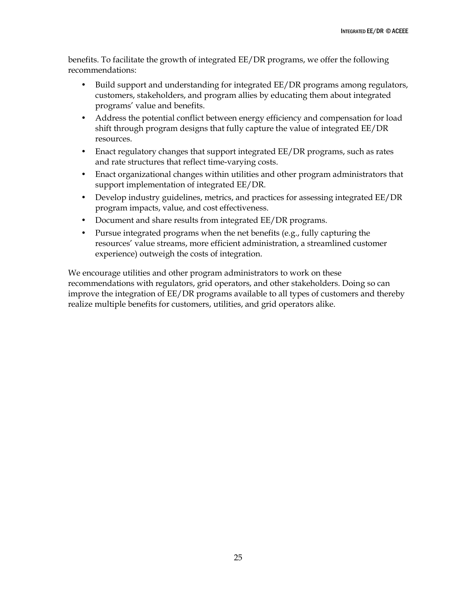benefits. To facilitate the growth of integrated EE/DR programs, we offer the following recommendations:

- Build support and understanding for integrated EE/DR programs among regulators, customers, stakeholders, and program allies by educating them about integrated programs' value and benefits.
- Address the potential conflict between energy efficiency and compensation for load shift through program designs that fully capture the value of integrated EE/DR resources.
- Enact regulatory changes that support integrated EE/DR programs, such as rates and rate structures that reflect time-varying costs.
- Enact organizational changes within utilities and other program administrators that support implementation of integrated EE/DR.
- Develop industry guidelines, metrics, and practices for assessing integrated EE/DR program impacts, value, and cost effectiveness.
- Document and share results from integrated EE/DR programs.
- Pursue integrated programs when the net benefits (e.g., fully capturing the resources' value streams, more efficient administration, a streamlined customer experience) outweigh the costs of integration.

We encourage utilities and other program administrators to work on these recommendations with regulators, grid operators, and other stakeholders. Doing so can improve the integration of EE/DR programs available to all types of customers and thereby realize multiple benefits for customers, utilities, and grid operators alike.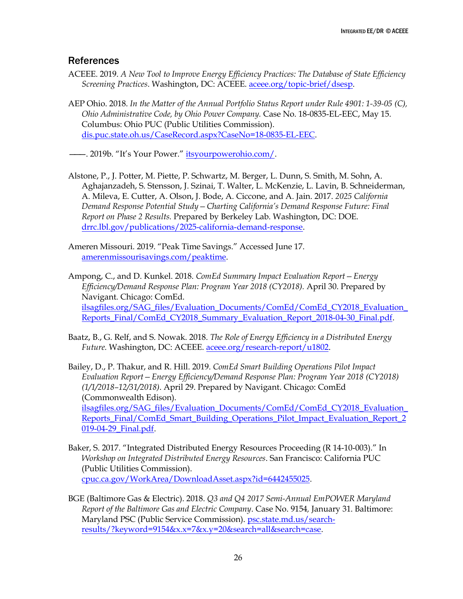### <span id="page-32-0"></span>**References**

- ACEEE. 2019. *A New Tool to Improve Energy Efficiency Practices: The Database of State Efficiency Screening Practices*. Washington, DC: ACEEE. [aceee.org/topic-brief/dsesp.](https://aceee.org/topic-brief/dsesp)
- AEP Ohio. 2018. *In the Matter of the Annual Portfolio Status Report under Rule 4901: 1-39-05 (C), Ohio Administrative Code, by Ohio Power Company.* Case No. 18-0835-EL-EEC, May 15. Columbus: Ohio PUC (Public Utilities Commission). [dis.puc.state.oh.us/CaseRecord.aspx?CaseNo=18-0835-EL-EEC.](https://dis.puc.state.oh.us/CaseRecord.aspx?CaseNo=18-0835-EL-EEC)

———. 2019b. "It's Your Power." [itsyourpowerohio.com/.](https://itsyourpowerohio.com/)

- Alstone, P., J. Potter, M. Piette, P. Schwartz, M. Berger, L. Dunn, S. Smith, M. Sohn, A. Aghajanzadeh, S. Stensson, J. Szinai, T. Walter, L. McKenzie, L. Lavin, B. Schneiderman, A. Mileva, E. Cutter, A. Olson, J. Bode, A. Ciccone, and A. Jain. 2017. *2025 California Demand Response Potential Study—Charting California's Demand Response Future: Final Report on Phase 2 Results.* Prepared by Berkeley Lab. Washington, DC: DOE. [drrc.lbl.gov/publications/2025-california-demand-response.](https://drrc.lbl.gov/publications/2025-california-demand-response)
- Ameren Missouri. 2019. "Peak Time Savings." Accessed June 17. [amerenmissourisavings.com/peaktime.](http://www.amerenmissourisavings.com/peaktime)
- Ampong, C., and D. Kunkel. 2018. *ComEd Summary Impact Evaluation Report—Energy Efficiency/Demand Response Plan: Program Year 2018 (CY2018).* April 30. Prepared by Navigant. Chicago: ComEd. [ilsagfiles.org/SAG\\_files/Evaluation\\_Documents/ComEd/ComEd\\_CY2018\\_Evaluation\\_](http://ilsagfiles.org/SAG_files/Evaluation_Documents/ComEd/ComEd_CY2018_Evaluation_Reports_Final/ComEd_CY2018_Summary_Evaluation_Report_2018-04-30_Final.pdf) [Reports\\_Final/ComEd\\_CY2018\\_Summary\\_Evaluation\\_Report\\_2018-04-30\\_Final.pdf.](http://ilsagfiles.org/SAG_files/Evaluation_Documents/ComEd/ComEd_CY2018_Evaluation_Reports_Final/ComEd_CY2018_Summary_Evaluation_Report_2018-04-30_Final.pdf)
- Baatz, B., G. Relf, and S. Nowak. 2018. *The Role of Energy Efficiency in a Distributed Energy Future.* Washington, DC: ACEEE. [aceee.org/research-report/u1802.](https://aceee.org/research-report/u1802)
- Bailey, D., P. Thakur, and R. Hill. 2019. *ComEd Smart Building Operations Pilot Impact Evaluation Report—Energy Efficiency/Demand Response Plan: Program Year 2018 (CY2018) (1/1/2018–12/31/2018)*. April 29. Prepared by Navigant. Chicago: ComEd (Commonwealth Edison). [ilsagfiles.org/SAG\\_files/Evaluation\\_Documents/ComEd/ComEd\\_CY2018\\_Evaluation\\_](http://ilsagfiles.org/SAG_files/Evaluation_Documents/ComEd/ComEd_CY2018_Evaluation_Reports_Final/ComEd_Smart_Building_Operations_Pilot_Impact_Evaluation_Report_2019-04-29_Final.pdf) [Reports\\_Final/ComEd\\_Smart\\_Building\\_Operations\\_Pilot\\_Impact\\_Evaluation\\_Report\\_2](http://ilsagfiles.org/SAG_files/Evaluation_Documents/ComEd/ComEd_CY2018_Evaluation_Reports_Final/ComEd_Smart_Building_Operations_Pilot_Impact_Evaluation_Report_2019-04-29_Final.pdf) [019-04-29\\_Final.pdf.](http://ilsagfiles.org/SAG_files/Evaluation_Documents/ComEd/ComEd_CY2018_Evaluation_Reports_Final/ComEd_Smart_Building_Operations_Pilot_Impact_Evaluation_Report_2019-04-29_Final.pdf)
- Baker, S. 2017. "Integrated Distributed Energy Resources Proceeding (R 14-10-003)." In *Workshop on Integrated Distributed Energy Resources*. San Francisco: California PUC (Public Utilities Commission). [cpuc.ca.gov/WorkArea/DownloadAsset.aspx?id=6442455025.](https://www.cpuc.ca.gov/WorkArea/DownloadAsset.aspx?id=6442455025)
- BGE (Baltimore Gas & Electric). 2018. *Q3 and Q4 2017 Semi-Annual EmPOWER Maryland Report of the Baltimore Gas and Electric Company*. Case No. 9154*,* January 31. Baltimore: Maryland PSC (Public Service Commission). [psc.state.md.us/search](https://www.psc.state.md.us/search-results/?keyword=9154&x.x=7&x.y=20&search=all&search=case)[results/?keyword=9154&x.x=7&x.y=20&search=all&search=case.](https://www.psc.state.md.us/search-results/?keyword=9154&x.x=7&x.y=20&search=all&search=case)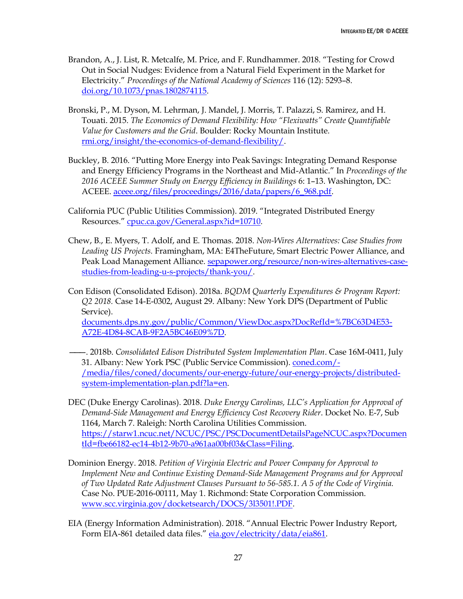- Brandon, A., J. List, R. Metcalfe, M. Price, and F. Rundhammer. 2018. "Testing for Crowd Out in Social Nudges: Evidence from a Natural Field Experiment in the Market for Electricity." *Proceedings of the National Academy of Sciences* 116 (12): 5293–8. [doi.org/10.1073/pnas.1802874115.](https://doi.org/10.1073/pnas.1802874115)
- Bronski, P., M. Dyson, M. Lehrman, J. Mandel, J. Morris, T. Palazzi, S. Ramirez, and H. Touati. 2015. *The Economics of Demand Flexibility: How "Flexiwatts" Create Quantifiable Value for Customers and the Grid*. Boulder: Rocky Mountain Institute. [rmi.org/insight/the-economics-of-demand-flexibility/.](https://rmi.org/insight/the-economics-of-demand-flexibility/)
- Buckley, B. 2016. "Putting More Energy into Peak Savings: Integrating Demand Response and Energy Efficiency Programs in the Northeast and Mid-Atlantic." In *Proceedings of the 2016 ACEEE Summer Study on Energy Efficiency in Buildings* 6: 1–13. Washington, DC: ACEEE. [aceee.org/files/proceedings/2016/data/papers/6\\_968.pdf.](https://aceee.org/files/proceedings/2016/data/papers/6_968.pdf)
- California PUC (Public Utilities Commission). 2019. "Integrated Distributed Energy Resources." [cpuc.ca.gov/General.aspx?id=10710.](https://www.cpuc.ca.gov/General.aspx?id=10710)
- Chew, B., E. Myers, T. Adolf, and E. Thomas. 2018. *Non-Wires Alternatives: Case Studies from Leading US Projects.* Framingham, MA: E4TheFuture, Smart Electric Power Alliance, and Peak Load Management Alliance. [sepapower.org/resource/non-wires-alternatives-case](https://sepapower.org/resource/non-wires-alternatives-case-studies-from-leading-u-s-projects/thank-you/)[studies-from-leading-u-s-projects/thank-you/.](https://sepapower.org/resource/non-wires-alternatives-case-studies-from-leading-u-s-projects/thank-you/)
- Con Edison (Consolidated Edison). 2018a. *BQDM Quarterly Expenditures & Program Report: Q2 2018.* Case 14-E-0302, August 29. Albany: New York DPS (Department of Public Service).

[documents.dps.ny.gov/public/Common/ViewDoc.aspx?DocRefId=%7BC63D4E53-](http://documents.dps.ny.gov/public/Common/ViewDoc.aspx?DocRefId=%7BC63D4E53-A72E-4D84-8CAB-9F2A5BC46E09%7D) [A72E-4D84-8CAB-9F2A5BC46E09%7D.](http://documents.dps.ny.gov/public/Common/ViewDoc.aspx?DocRefId=%7BC63D4E53-A72E-4D84-8CAB-9F2A5BC46E09%7D)

- ———. 2018b. *Consolidated Edison Distributed System Implementation Plan*. Case 16M-0411, July 31. Albany: New York PSC (Public Service Commission). [coned.com/-](https://www.coned.com/-/media/files/coned/documents/our-energy-future/our-energy-projects/distributed-system-implementation-plan.pdf?la=en) [/media/files/coned/documents/our-energy-future/our-energy-projects/distributed](https://www.coned.com/-/media/files/coned/documents/our-energy-future/our-energy-projects/distributed-system-implementation-plan.pdf?la=en)[system-implementation-plan.pdf?la=en.](https://www.coned.com/-/media/files/coned/documents/our-energy-future/our-energy-projects/distributed-system-implementation-plan.pdf?la=en)
- DEC (Duke Energy Carolinas). 2018. *Duke Energy Carolinas, LLC's Application for Approval of Demand-Side Management and Energy Efficiency Cost Recovery Rider*. Docket No. E-7, Sub 1164, March 7. Raleigh: North Carolina Utilities Commission. [https://starw1.ncuc.net/NCUC/PSC/PSCDocumentDetailsPageNCUC.aspx?Documen](https://starw1.ncuc.net/NCUC/PSC/PSCDocumentDetailsPageNCUC.aspx?DocumentId=fbe66182-ec14-4b12-9b70-a961aa00bf03&Class=Filing) [tId=fbe66182-ec14-4b12-9b70-a961aa00bf03&Class=Filing.](https://starw1.ncuc.net/NCUC/PSC/PSCDocumentDetailsPageNCUC.aspx?DocumentId=fbe66182-ec14-4b12-9b70-a961aa00bf03&Class=Filing)
- Dominion Energy. 2018. *Petition of Virginia Electric and Power Company for Approval to Implement New and Continue Existing Demand-Side Management Programs and for Approval of Two Updated Rate Adjustment Clauses Pursuant to 56-585.1. A 5 of the Code of Virginia.*  Case No. PUE-2016-00111, May 1. Richmond: State Corporation Commission. [www.scc.virginia.gov/docketsearch/DOCS/3l3501!.PDF.](http://www.scc.virginia.gov/docketsearch/DOCS/3l3501!.PDF)
- EIA (Energy Information Administration). 2018. "Annual Electric Power Industry Report, Form EIA-861 detailed data files." [eia.gov/electricity/data/eia861.](http://eia.gov/electricity/data/eia861)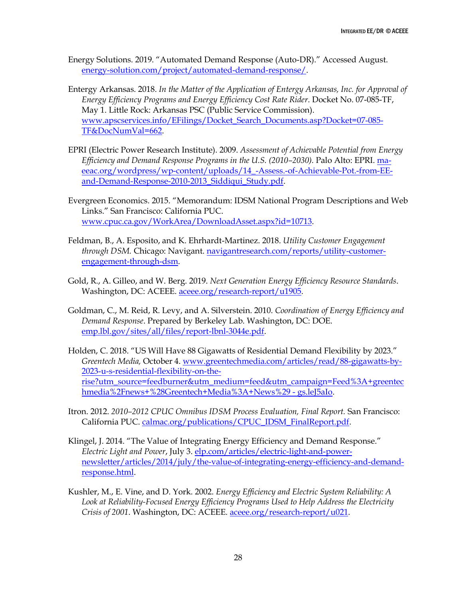- Energy Solutions. 2019. "Automated Demand Response (Auto-DR)." Accessed August. [energy-solution.com/project/automated-demand-response/.](https://energy-solution.com/project/automated-demand-response/)
- Entergy Arkansas. 2018. *In the Matter of the Application of Entergy Arkansas, Inc. for Approval of Energy Efficiency Programs and Energy Efficiency Cost Rate Rider*. Docket No. 07-085-TF, May 1. Little Rock: Arkansas PSC (Public Service Commission). [www.apscservices.info/EFilings/Docket\\_Search\\_Documents.asp?Docket=07-085-](http://www.apscservices.info/EFilings/Docket_Search_Documents.asp?Docket=07-085-TF&DocNumVal=662) [TF&DocNumVal=662.](http://www.apscservices.info/EFilings/Docket_Search_Documents.asp?Docket=07-085-TF&DocNumVal=662)
- EPRI (Electric Power Research Institute). 2009. *Assessment of Achievable Potential from Energy Efficiency and Demand Response Programs in the U.S. (2010–2030).* Palo Alto: EPRI[. ma](http://ma-eeac.org/wordpress/wp-content/uploads/14_-Assess.-of-Achievable-Pot.-from-EE-and-Demand-Response-2010-2013_Siddiqui_Study.pdf)[eeac.org/wordpress/wp-content/uploads/14\\_-Assess.-of-Achievable-Pot.-from-EE](http://ma-eeac.org/wordpress/wp-content/uploads/14_-Assess.-of-Achievable-Pot.-from-EE-and-Demand-Response-2010-2013_Siddiqui_Study.pdf)[and-Demand-Response-2010-2013\\_Siddiqui\\_Study.pdf.](http://ma-eeac.org/wordpress/wp-content/uploads/14_-Assess.-of-Achievable-Pot.-from-EE-and-Demand-Response-2010-2013_Siddiqui_Study.pdf)
- Evergreen Economics. 2015. "Memorandum: IDSM National Program Descriptions and Web Links." San Francisco: California PUC. [www.cpuc.ca.gov/WorkArea/DownloadAsset.aspx?id=10713.](http://www.cpuc.ca.gov/WorkArea/DownloadAsset.aspx?id=10713)
- Feldman, B., A. Esposito, and K. Ehrhardt-Martinez. 2018. *Utility Customer Engagement through DSM.* Chicago: Navigant. [navigantresearch.com/reports/utility-customer](https://www.navigantresearch.com/reports/utility-customer-engagement-through-dsm)[engagement-through-dsm.](https://www.navigantresearch.com/reports/utility-customer-engagement-through-dsm)
- Gold, R., A. Gilleo, and W. Berg. 2019. *Next Generation Energy Efficiency Resource Standards*. Washington, DC: ACEEE. [aceee.org/research-report/u1905.](https://aceee.org/research-report/u1905)
- Goldman, C., M. Reid, R. Levy, and A. Silverstein. 2010. *Coordination of Energy Efficiency and Demand Response*. Prepared by Berkeley Lab. Washington, DC: DOE. [emp.lbl.gov/sites/all/files/report-lbnl-3044e.pdf.](https://emp.lbl.gov/sites/all/files/report-lbnl-3044e.pdf)
- Holden, C. 2018. "US Will Have 88 Gigawatts of Residential Demand Flexibility by 2023." *Greentech Media,* October 4. [www.greentechmedia.com/articles/read/88-gigawatts-by-](https://www.greentechmedia.com/articles/read/88-gigawatts-by-2023-u-s-residential-flexibility-on-the-rise?utm_source=feedburner&utm_medium=feed&utm_campaign=Feed%3A+greentechmedia%2Fnews+%28Greentech+Media%3A+News%29#gs.leJ5aIo)[2023-u-s-residential-flexibility-on-the](https://www.greentechmedia.com/articles/read/88-gigawatts-by-2023-u-s-residential-flexibility-on-the-rise?utm_source=feedburner&utm_medium=feed&utm_campaign=Feed%3A+greentechmedia%2Fnews+%28Greentech+Media%3A+News%29#gs.leJ5aIo)[rise?utm\\_source=feedburner&utm\\_medium=feed&utm\\_campaign=Feed%3A+greentec](https://www.greentechmedia.com/articles/read/88-gigawatts-by-2023-u-s-residential-flexibility-on-the-rise?utm_source=feedburner&utm_medium=feed&utm_campaign=Feed%3A+greentechmedia%2Fnews+%28Greentech+Media%3A+News%29#gs.leJ5aIo) [hmedia%2Fnews+%28Greentech+Media%3A+News%29 -](https://www.greentechmedia.com/articles/read/88-gigawatts-by-2023-u-s-residential-flexibility-on-the-rise?utm_source=feedburner&utm_medium=feed&utm_campaign=Feed%3A+greentechmedia%2Fnews+%28Greentech+Media%3A+News%29#gs.leJ5aIo) gs.leJ5aIo.
- Itron. 2012. *2010–2012 CPUC Omnibus IDSM Process Evaluation, Final Report.* San Francisco: California PUC. [calmac.org/publications/CPUC\\_IDSM\\_FinalReport.pdf.](http://calmac.org/publications/CPUC_IDSM_FinalReport.pdf)
- Klingel, J. 2014. "The Value of Integrating Energy Efficiency and Demand Response." *Electric Light and Power*, July 3. [elp.com/articles/electric-light-and-power](https://www.elp.com/articles/electric-light-and-power-newsletter/articles/2014/july/the-value-of-integrating-energy-efficiency-and-demand-response.html)[newsletter/articles/2014/july/the-value-of-integrating-energy-efficiency-and-demand](https://www.elp.com/articles/electric-light-and-power-newsletter/articles/2014/july/the-value-of-integrating-energy-efficiency-and-demand-response.html)[response.html.](https://www.elp.com/articles/electric-light-and-power-newsletter/articles/2014/july/the-value-of-integrating-energy-efficiency-and-demand-response.html)
- Kushler, M., E. Vine, and D. York. 2002. *Energy Efficiency and Electric System Reliability: A Look at Reliability-Focused Energy Efficiency Programs Used to Help Address the Electricity Crisis of 2001*. Washington, DC: ACEEE. [aceee.org/research-report/u021.](http://aceee.org/research-report/u021)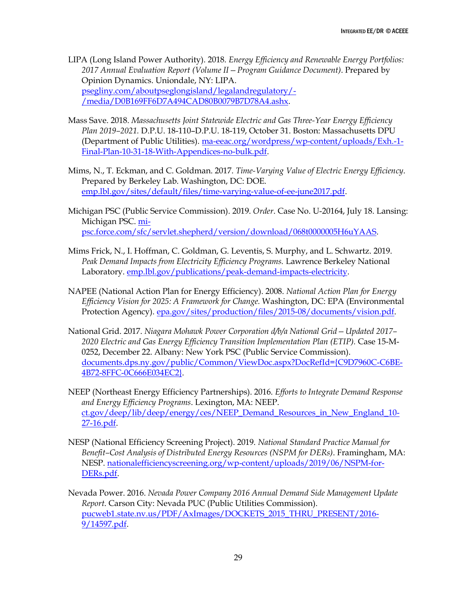LIPA (Long Island Power Authority). 2018. *Energy Efficiency and Renewable Energy Portfolios: 2017 Annual Evaluation Report (Volume II—Program Guidance Document)*. Prepared by Opinion Dynamics. Uniondale, NY: LIPA. [psegliny.com/aboutpseglongisland/legalandregulatory/-](https://www.psegliny.com/aboutpseglongisland/legalandregulatory/-/media/D0B169FF6D7A494CAD80B0079B7D78A4.ashx) [/media/D0B169FF6D7A494CAD80B0079B7D78A4.ashx.](https://www.psegliny.com/aboutpseglongisland/legalandregulatory/-/media/D0B169FF6D7A494CAD80B0079B7D78A4.ashx)

- Mass Save. 2018. *Massachusetts Joint Statewide Electric and Gas Three-Year Energy Efficiency Plan 2019–2021.* D.P.U. 18-110–D.P.U. 18-119, October 31. Boston: Massachusetts DPU (Department of Public Utilities)[. ma-eeac.org/wordpress/wp-content/uploads/Exh.-1-](http://ma-eeac.org/wordpress/wp-content/uploads/Exh.-1-Final-Plan-10-31-18-With-Appendices-no-bulk.pdf) [Final-Plan-10-31-18-With-Appendices-no-bulk.pdf.](http://ma-eeac.org/wordpress/wp-content/uploads/Exh.-1-Final-Plan-10-31-18-With-Appendices-no-bulk.pdf)
- Mims, N., T. Eckman, and C. Goldman. 2017. *Time-Varying Value of Electric Energy Efficiency*. Prepared by Berkeley Lab. Washington, DC: DOE. [emp.lbl.gov/sites/default/files/time-varying-value-of-ee-june2017.pdf.](https://emp.lbl.gov/sites/default/files/time-varying-value-of-ee-june2017.pdf)
- Michigan PSC (Public Service Commission). 2019. *Order*. Case No. U-20164, July 18. Lansing: Michigan PSC[. mi](https://mi-psc.force.com/sfc/servlet.shepherd/version/download/068t0000005H6uYAAS)[psc.force.com/sfc/servlet.shepherd/version/download/068t0000005H6uYAAS.](https://mi-psc.force.com/sfc/servlet.shepherd/version/download/068t0000005H6uYAAS)
- Mims Frick, N., I. Hoffman, C. Goldman, G. Leventis, S. Murphy, and L. Schwartz. 2019. Peak Demand Impacts from Electricity Efficiency Programs. Lawrence Berkeley National Laboratory[. emp.lbl.gov/publications/peak-demand-impacts-electricity.](https://emp.lbl.gov/publications/peak-demand-impacts-electricity)
- NAPEE (National Action Plan for Energy Efficiency). 2008. *National Action Plan for Energy Efficiency Vision for 2025: A Framework for Change.* Washington, DC: EPA (Environmental Protection Agency). [epa.gov/sites/production/files/2015-08/documents/vision.pdf.](https://www.epa.gov/sites/production/files/2015-08/documents/vision.pdf)
- National Grid. 2017. *Niagara Mohawk Power Corporation d/b/a National Grid—Updated 2017– 2020 Electric and Gas Energy Efficiency Transition Implementation Plan (ETIP).* Case 15-M-0252, December 22. Albany: New York PSC (Public Service Commission). [documents.dps.ny.gov/public/Common/ViewDoc.aspx?DocRefId={C9D7960C-C6BE-](http://documents.dps.ny.gov/public/Common/ViewDoc.aspx?DocRefId=%7bC9D7960C-C6BE-4B72-8FFC-0C666E034EC2%7d)[4B72-8FFC-0C666E034EC2}.](http://documents.dps.ny.gov/public/Common/ViewDoc.aspx?DocRefId=%7bC9D7960C-C6BE-4B72-8FFC-0C666E034EC2%7d)
- NEEP (Northeast Energy Efficiency Partnerships). 2016. *Efforts to Integrate Demand Response and Energy Efficiency Programs*. Lexington, MA: NEEP. [ct.gov/deep/lib/deep/energy/ces/NEEP\\_Demand\\_Resources\\_in\\_New\\_England\\_10-](https://www.ct.gov/deep/lib/deep/energy/ces/NEEP_Demand_Resources_in_New_England_10-27-16.pdf) [27-16.pdf.](https://www.ct.gov/deep/lib/deep/energy/ces/NEEP_Demand_Resources_in_New_England_10-27-16.pdf)
- NESP (National Efficiency Screening Project). 2019. *National Standard Practice Manual for Benefit–Cost Analysis of Distributed Energy Resources (NSPM for DERs)*. Framingham, MA: NESP. [nationalefficiencyscreening.org/wp-content/uploads/2019/06/NSPM-for-](https://nationalefficiencyscreening.org/wp-content/uploads/2019/06/NSPM-for-DERs.pdf)[DERs.pdf.](https://nationalefficiencyscreening.org/wp-content/uploads/2019/06/NSPM-for-DERs.pdf)
- Nevada Power. 2016. *Nevada Power Company 2016 Annual Demand Side Management Update Report*. Carson City: Nevada PUC (Public Utilities Commission). [pucweb1.state.nv.us/PDF/AxImages/DOCKETS\\_2015\\_THRU\\_PRESENT/2016-](http://pucweb1.state.nv.us/PDF/AxImages/DOCKETS_2015_THRU_PRESENT/2016-9/14597.pdf) [9/14597.pdf.](http://pucweb1.state.nv.us/PDF/AxImages/DOCKETS_2015_THRU_PRESENT/2016-9/14597.pdf)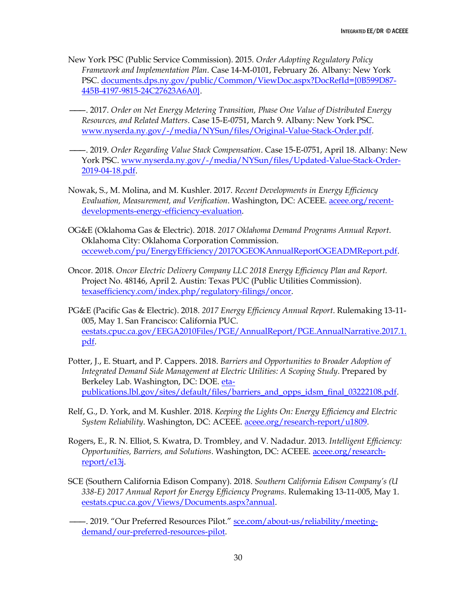- New York PSC (Public Service Commission). 2015. *Order Adopting Regulatory Policy Framework and Implementation Plan*. Case 14-M-0101, February 26. Albany: New York PSC[. documents.dps.ny.gov/public/Common/ViewDoc.aspx?DocRefId={0B599D87-](http://documents.dps.ny.gov/public/Common/ViewDoc.aspx?DocRefId=%7b0B599D87-445B-4197-9815-24C27623A6A0%7d) [445B-4197-9815-24C27623A6A0}.](http://documents.dps.ny.gov/public/Common/ViewDoc.aspx?DocRefId=%7b0B599D87-445B-4197-9815-24C27623A6A0%7d)
	- ———. 2017. *Order on Net Energy Metering Transition, Phase One Value of Distributed Energy Resources, and Related Matters*. Case 15-E-0751, March 9. Albany: New York PSC. [www.nyserda.ny.gov/-/media/NYSun/files/Original-Value-Stack-Order.pdf.](https://www.nyserda.ny.gov/-/media/NYSun/files/Original-Value-Stack-Order.pdf)
- ———. 2019. *Order Regarding Value Stack Compensation*. Case 15-E-0751, April 18. Albany: New York PSC. [www.nyserda.ny.gov/-/media/NYSun/files/Updated-Value-Stack-Order-](https://www.nyserda.ny.gov/-/media/NYSun/files/Updated-Value-Stack-Order-2019-04-18.pdf)[2019-04-18.pdf.](https://www.nyserda.ny.gov/-/media/NYSun/files/Updated-Value-Stack-Order-2019-04-18.pdf)
- Nowak, S., M. Molina, and M. Kushler. 2017. *Recent Developments in Energy Efficiency Evaluation, Measurement, and Verification*. Washington, DC: ACEEE. [aceee.org/recent](https://aceee.org/recent-developments-energy-efficiency-evaluation)[developments-energy-efficiency-evaluation.](https://aceee.org/recent-developments-energy-efficiency-evaluation)
- OG&E (Oklahoma Gas & Electric). 2018. *2017 Oklahoma Demand Programs Annual Report*. Oklahoma City: Oklahoma Corporation Commission. [occeweb.com/pu/EnergyEfficiency/2017OGEOKAnnualReportOGEADMReport.pdf.](http://www.occeweb.com/pu/EnergyEfficiency/2017OGEOKAnnualReportOGEADMReport.pdf)
- Oncor. 2018. *Oncor Electric Delivery Company LLC 2018 Energy Efficiency Plan and Report.* Project No. 48146, April 2. Austin: Texas PUC (Public Utilities Commission). [texasefficiency.com/index.php/regulatory-filings/oncor.](http://www.texasefficiency.com/index.php/regulatory-filings/oncor)
- PG&E (Pacific Gas & Electric). 2018. *2017 Energy Efficiency Annual Report*. Rulemaking 13-11- 005, May 1. San Francisco: California PUC. [eestats.cpuc.ca.gov/EEGA2010Files/PGE/AnnualReport/PGE.AnnualNarrative.2017.1.](http://eestats.cpuc.ca.gov/EEGA2010Files/PGE/AnnualReport/PGE.AnnualNarrative.2017.1.pdf) [pdf.](http://eestats.cpuc.ca.gov/EEGA2010Files/PGE/AnnualReport/PGE.AnnualNarrative.2017.1.pdf)
- Potter, J., E. Stuart, and P. Cappers. 2018. *Barriers and Opportunities to Broader Adoption of Integrated Demand Side Management at Electric Utilities: A Scoping Study*. Prepared by Berkeley Lab. Washington, DC: DOE. [eta](http://eta-publications.lbl.gov/sites/default/files/barriers_and_opps_idsm_final_03222108.pdf)[publications.lbl.gov/sites/default/files/barriers\\_and\\_opps\\_idsm\\_final\\_03222108.pdf.](http://eta-publications.lbl.gov/sites/default/files/barriers_and_opps_idsm_final_03222108.pdf)
- Relf, G., D. York, and M. Kushler. 2018. *Keeping the Lights On: Energy Efficiency and Electric System Reliability*. Washington, DC: ACEEE. [aceee.org/research-report/u1809.](https://aceee.org/research-report/u1809)
- Rogers, E., R. N. Elliot, S. Kwatra, D. Trombley, and V. Nadadur. 2013. *Intelligent Efficiency: Opportunities, Barriers, and Solutions*. Washington, DC: ACEEE[. aceee.org/research](https://aceee.org/research-report/e13j)[report/e13j.](https://aceee.org/research-report/e13j)
- SCE (Southern California Edison Company). 2018. *Southern California Edison Company's (U 338-E) 2017 Annual Report for Energy Efficiency Programs*. Rulemaking 13-11-005, May 1. [eestats.cpuc.ca.gov/Views/Documents.aspx?annual.](http://eestats.cpuc.ca.gov/Views/Documents.aspx?annual)
	- ———. 2019. "Our Preferred Resources Pilot." [sce.com/about-us/reliability/meeting](https://www.sce.com/about-us/reliability/meeting-demand/our-preferred-resources-pilot)[demand/our-preferred-resources-pilot.](https://www.sce.com/about-us/reliability/meeting-demand/our-preferred-resources-pilot)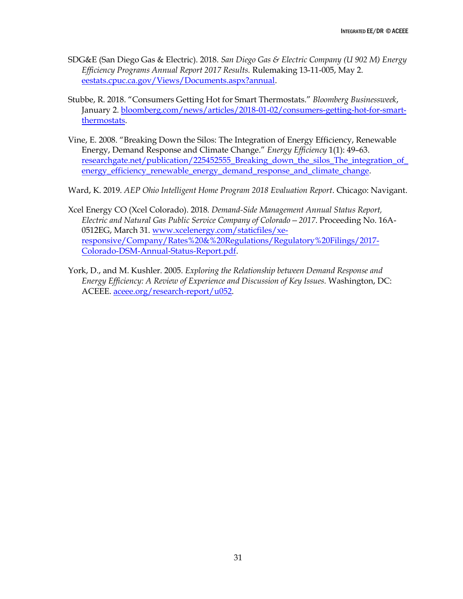- SDG&E (San Diego Gas & Electric). 2018. *San Diego Gas & Electric Company (U 902 M) Energy Efficiency Programs Annual Report 2017 Results.* Rulemaking 13-11-005, May 2. [eestats.cpuc.ca.gov/Views/Documents.aspx?annual.](http://eestats.cpuc.ca.gov/Views/Documents.aspx?annual)
- Stubbe, R. 2018. "Consumers Getting Hot for Smart Thermostats." *Bloomberg Businessweek*, January 2. [bloomberg.com/news/articles/2018-01-02/consumers-getting-hot-for-smart](https://www.bloomberg.com/news/articles/2018-01-02/consumers-getting-hot-for-smart-thermostats)[thermostats.](https://www.bloomberg.com/news/articles/2018-01-02/consumers-getting-hot-for-smart-thermostats)
- Vine, E. 2008. "Breaking Down the Silos: The Integration of Energy Efficiency, Renewable Energy, Demand Response and Climate Change." *Energy Efficiency* 1(1): 49–63. researchgate.net/publication/225452555\_Breaking\_down\_the\_silos\_The\_integration\_of [energy\\_efficiency\\_renewable\\_energy\\_demand\\_response\\_and\\_climate\\_change.](https://www.researchgate.net/publication/225452555_Breaking_down_the_silos_The_integration_of_energy_efficiency_renewable_energy_demand_response_and_climate_change)

Ward, K. 2019. *AEP Ohio Intelligent Home Program 2018 Evaluation Report*. Chicago: Navigant.

- Xcel Energy CO (Xcel Colorado). 2018. *Demand-Side Management Annual Status Report, Electric and Natural Gas Public Service Company of Colorado—2017*. Proceeding No. 16A-0512EG, March 31. [www.xcelenergy.com/staticfiles/xe](https://www.xcelenergy.com/staticfiles/xe-responsive/Company/Rates%20&%20Regulations/Regulatory%20Filings/2017-Colorado-DSM-Annual-Status-Report.pdf)[responsive/Company/Rates%20&%20Regulations/Regulatory%20Filings/2017-](https://www.xcelenergy.com/staticfiles/xe-responsive/Company/Rates%20&%20Regulations/Regulatory%20Filings/2017-Colorado-DSM-Annual-Status-Report.pdf) [Colorado-DSM-Annual-Status-Report.pdf.](https://www.xcelenergy.com/staticfiles/xe-responsive/Company/Rates%20&%20Regulations/Regulatory%20Filings/2017-Colorado-DSM-Annual-Status-Report.pdf)
- York, D., and M. Kushler. 2005. *Exploring the Relationship between Demand Response and Energy Efficiency: A Review of Experience and Discussion of Key Issues.* Washington, DC: ACEEE. [aceee.org/research-report/u052.](https://aceee.org/research-report/u052)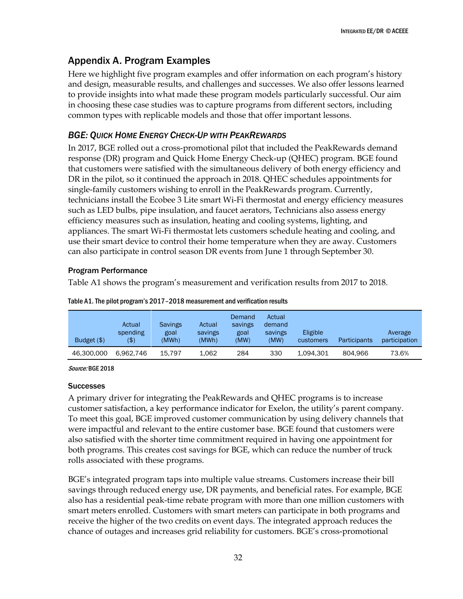# <span id="page-38-0"></span>Appendix A. Program Examples

Here we highlight five program examples and offer information on each program's history and design, measurable results, and challenges and successes. We also offer lessons learned to provide insights into what made these program models particularly successful. Our aim in choosing these case studies was to capture programs from different sectors, including common types with replicable models and those that offer important lessons.

### <span id="page-38-1"></span>*BGE: QUICK HOME ENERGY CHECK-UP WITH PEAKREWARDS*

In 2017, BGE rolled out a cross-promotional pilot that included the PeakRewards demand response (DR) program and Quick Home Energy Check-up (QHEC) program. BGE found that customers were satisfied with the simultaneous delivery of both energy efficiency and DR in the pilot, so it continued the approach in 2018. QHEC schedules appointments for single-family customers wishing to enroll in the PeakRewards program. Currently, technicians install the Ecobee 3 Lite smart Wi-Fi thermostat and energy efficiency measures such as LED bulbs, pipe insulation, and faucet aerators, Technicians also assess energy efficiency measures such as insulation, heating and cooling systems, lighting, and appliances. The smart Wi-Fi thermostat lets customers schedule heating and cooling, and use their smart device to control their home temperature when they are away. Customers can also participate in control season DR events from June 1 through September 30.

#### Program Performance

Table A1 shows the program's measurement and verification results from 2017 to 2018.

| Budget $(\$)$ | Actual<br>spending<br>( \$) | <b>Savings</b><br>goal<br>(MWh) | Actual<br>savings<br>(MWh) | Demand<br>savings<br>goal<br>(MW) | Actual<br>demand<br>savings<br>(MW) | Eligible<br>customers | Participants | Average<br>participation |
|---------------|-----------------------------|---------------------------------|----------------------------|-----------------------------------|-------------------------------------|-----------------------|--------------|--------------------------|
| 46.300.000    | 6.962.746                   | 15.797                          | 1,062                      | 284                               | 330                                 | 1.094.301             | 804.966      | 73.6%                    |

Table A1. The pilot program's 2017–2018 measurement and verification results

Source: BGE 2018

#### **Successes**

A primary driver for integrating the PeakRewards and QHEC programs is to increase customer satisfaction, a key performance indicator for Exelon, the utility's parent company. To meet this goal, BGE improved customer communication by using delivery channels that were impactful and relevant to the entire customer base. BGE found that customers were also satisfied with the shorter time commitment required in having one appointment for both programs. This creates cost savings for BGE, which can reduce the number of truck rolls associated with these programs.

BGE's integrated program taps into multiple value streams. Customers increase their bill savings through reduced energy use, DR payments, and beneficial rates. For example, BGE also has a residential peak-time rebate program with more than one million customers with smart meters enrolled. Customers with smart meters can participate in both programs and receive the higher of the two credits on event days. The integrated approach reduces the chance of outages and increases grid reliability for customers. BGE's cross-promotional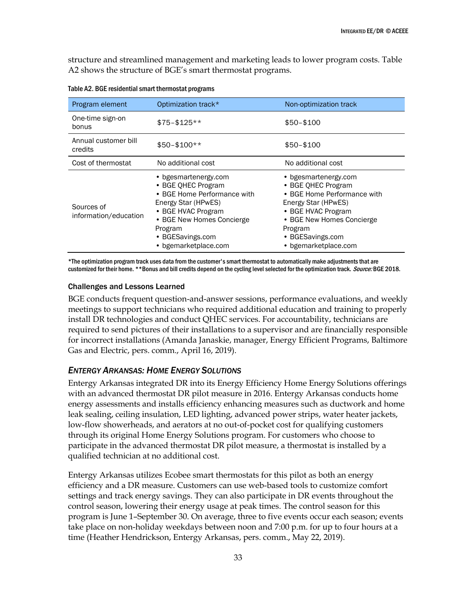structure and streamlined management and marketing leads to lower program costs. Table A2 shows the structure of BGE's smart thermostat programs.

| Program element                     | Optimization track*                                                                                                                                                                                        | Non-optimization track                                                                                                                                                                                     |
|-------------------------------------|------------------------------------------------------------------------------------------------------------------------------------------------------------------------------------------------------------|------------------------------------------------------------------------------------------------------------------------------------------------------------------------------------------------------------|
| One-time sign-on<br>bonus           | $$75 - $125**$                                                                                                                                                                                             | $$50 - $100$                                                                                                                                                                                               |
| Annual customer bill<br>credits     | $$50-$100**$                                                                                                                                                                                               | $$50 - $100$                                                                                                                                                                                               |
| Cost of thermostat                  | No additional cost                                                                                                                                                                                         | No additional cost                                                                                                                                                                                         |
| Sources of<br>information/education | • bgesmartenergy.com<br>• BGE OHEC Program<br>• BGE Home Performance with<br>Energy Star (HPwES)<br>• BGE HVAC Program<br>• BGE New Homes Concierge<br>Program<br>• BGESavings.com<br>• bgemarketplace.com | • bgesmartenergy.com<br>• BGE OHEC Program<br>• BGE Home Performance with<br>Energy Star (HPwES)<br>• BGE HVAC Program<br>• BGE New Homes Concierge<br>Program<br>• BGESavings.com<br>• bgemarketplace.com |

Table A2. BGE residential smart thermostat programs

\*The optimization program track uses data from the customer's smart thermostat to automatically make adjustments that are customized for their home. \*\*Bonus and bill credits depend on the cycling level selected for the optimization track. Source: BGE 2018.

#### Challenges and Lessons Learned

BGE conducts frequent question-and-answer sessions, performance evaluations, and weekly meetings to support technicians who required additional education and training to properly install DR technologies and conduct QHEC services. For accountability, technicians are required to send pictures of their installations to a supervisor and are financially responsible for incorrect installations (Amanda Janaskie, manager, Energy Efficient Programs, Baltimore Gas and Electric, pers. comm., April 16, 2019).

#### <span id="page-39-0"></span>*ENTERGY ARKANSAS: HOME ENERGY SOLUTIONS*

Entergy Arkansas integrated DR into its Energy Efficiency Home Energy Solutions offerings with an advanced thermostat DR pilot measure in 2016. Entergy Arkansas conducts home energy assessments and installs efficiency enhancing measures such as ductwork and home leak sealing, ceiling insulation, LED lighting, advanced power strips, water heater jackets, low-flow showerheads, and aerators at no out-of-pocket cost for qualifying customers through its original Home Energy Solutions program. For customers who choose to participate in the advanced thermostat DR pilot measure, a thermostat is installed by a qualified technician at no additional cost.

Entergy Arkansas utilizes Ecobee smart thermostats for this pilot as both an energy efficiency and a DR measure. Customers can use web-based tools to customize comfort settings and track energy savings. They can also participate in DR events throughout the control season, lowering their energy usage at peak times. The control season for this program is June 1–September 30. On average, three to five events occur each season; events take place on non-holiday weekdays between noon and 7:00 p.m. for up to four hours at a time (Heather Hendrickson, Entergy Arkansas, pers. comm., May 22, 2019).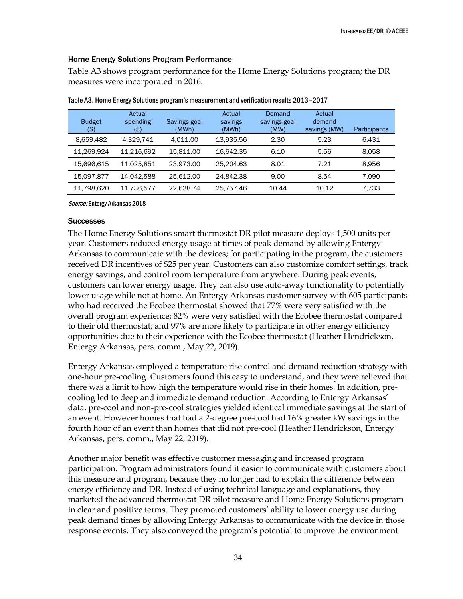#### Home Energy Solutions Program Performance

Table A3 shows program performance for the Home Energy Solutions program; the DR measures were incorporated in 2016.

| <b>Budget</b><br>(\$) | Actual<br>spending<br>(\$) | Savings goal<br>(MWh) | Actual<br>savings<br>(MWh) | Demand<br>savings goal<br>(MW) | Actual<br>demand<br>savings (MW) | Participants |
|-----------------------|----------------------------|-----------------------|----------------------------|--------------------------------|----------------------------------|--------------|
| 8,659,482             | 4.329.741                  | 4.011.00              | 13.935.56                  | 2.30                           | 5.23                             | 6.431        |
| 11,269,924            | 11,216,692                 | 15.811.00             | 16.642.35                  | 6.10                           | 5.56                             | 8,058        |
| 15,696,615            | 11,025,851                 | 23,973.00             | 25,204.63                  | 8.01                           | 7.21                             | 8,956        |
| 15,097,877            | 14,042,588                 | 25.612.00             | 24.842.38                  | 9.00                           | 8.54                             | 7.090        |
| 11,798,620            | 11,736,577                 | 22,638.74             | 25,757.46                  | 10.44                          | 10.12                            | 7,733        |

|  |  |  | Table A3. Home Energy Solutions program's measurement and verification results 2013-2017 |
|--|--|--|------------------------------------------------------------------------------------------|
|  |  |  |                                                                                          |

Source: Entergy Arkansas 2018

#### **Successes**

The Home Energy Solutions smart thermostat DR pilot measure deploys 1,500 units per year. Customers reduced energy usage at times of peak demand by allowing Entergy Arkansas to communicate with the devices; for participating in the program, the customers received DR incentives of \$25 per year. Customers can also customize comfort settings, track energy savings, and control room temperature from anywhere. During peak events, customers can lower energy usage. They can also use auto-away functionality to potentially lower usage while not at home. An Entergy Arkansas customer survey with 605 participants who had received the Ecobee thermostat showed that 77% were very satisfied with the overall program experience; 82% were very satisfied with the Ecobee thermostat compared to their old thermostat; and 97% are more likely to participate in other energy efficiency opportunities due to their experience with the Ecobee thermostat (Heather Hendrickson, Entergy Arkansas, pers. comm., May 22, 2019).

Entergy Arkansas employed a temperature rise control and demand reduction strategy with one-hour pre-cooling. Customers found this easy to understand, and they were relieved that there was a limit to how high the temperature would rise in their homes. In addition, precooling led to deep and immediate demand reduction. According to Entergy Arkansas' data, pre-cool and non-pre-cool strategies yielded identical immediate savings at the start of an event. However homes that had a 2-degree pre-cool had 16% greater kW savings in the fourth hour of an event than homes that did not pre-cool (Heather Hendrickson, Entergy Arkansas, pers. comm., May 22, 2019).

Another major benefit was effective customer messaging and increased program participation. Program administrators found it easier to communicate with customers about this measure and program, because they no longer had to explain the difference between energy efficiency and DR. Instead of using technical language and explanations, they marketed the advanced thermostat DR pilot measure and Home Energy Solutions program in clear and positive terms. They promoted customers' ability to lower energy use during peak demand times by allowing Entergy Arkansas to communicate with the device in those response events. They also conveyed the program's potential to improve the environment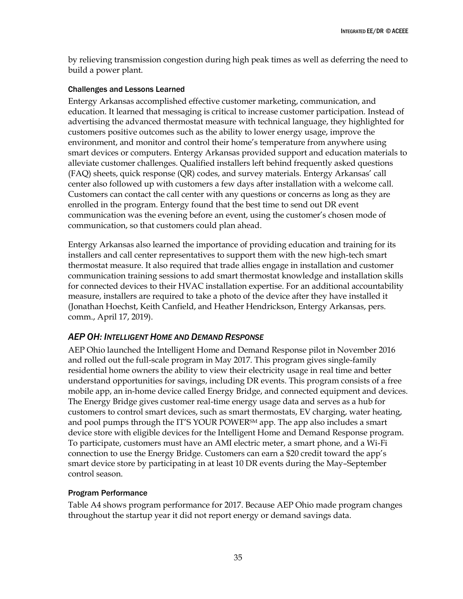by relieving transmission congestion during high peak times as well as deferring the need to build a power plant.

#### Challenges and Lessons Learned

Entergy Arkansas accomplished effective customer marketing, communication, and education. It learned that messaging is critical to increase customer participation. Instead of advertising the advanced thermostat measure with technical language, they highlighted for customers positive outcomes such as the ability to lower energy usage, improve the environment, and monitor and control their home's temperature from anywhere using smart devices or computers. Entergy Arkansas provided support and education materials to alleviate customer challenges. Qualified installers left behind frequently asked questions (FAQ) sheets, quick response (QR) codes, and survey materials. Entergy Arkansas' call center also followed up with customers a few days after installation with a welcome call. Customers can contact the call center with any questions or concerns as long as they are enrolled in the program. Entergy found that the best time to send out DR event communication was the evening before an event, using the customer's chosen mode of communication, so that customers could plan ahead.

Entergy Arkansas also learned the importance of providing education and training for its installers and call center representatives to support them with the new high-tech smart thermostat measure. It also required that trade allies engage in installation and customer communication training sessions to add smart thermostat knowledge and installation skills for connected devices to their HVAC installation expertise. For an additional accountability measure, installers are required to take a photo of the device after they have installed it (Jonathan Hoechst, Keith Canfield, and Heather Hendrickson, Entergy Arkansas, pers. comm., April 17, 2019).

### <span id="page-41-0"></span>*AEP OH: INTELLIGENT HOME AND DEMAND RESPONSE*

AEP Ohio launched the Intelligent Home and Demand Response pilot in November 2016 and rolled out the full-scale program in May 2017. This program gives single-family residential home owners the ability to view their electricity usage in real time and better understand opportunities for savings, including DR events. This program consists of a free mobile app, an in-home device called Energy Bridge, and connected equipment and devices. The Energy Bridge gives customer real-time energy usage data and serves as a hub for customers to control smart devices, such as smart thermostats, EV charging, water heating, and pool pumps through the IT'S YOUR POWER<sup>SM</sup> app. The app also includes a smart device store with eligible devices for the Intelligent Home and Demand Response program. To participate, customers must have an AMI electric meter, a smart phone, and a Wi-Fi connection to use the Energy Bridge. Customers can earn a \$20 credit toward the app's smart device store by participating in at least 10 DR events during the May–September control season.

#### Program Performance

Table A4 shows program performance for 2017. Because AEP Ohio made program changes throughout the startup year it did not report energy or demand savings data.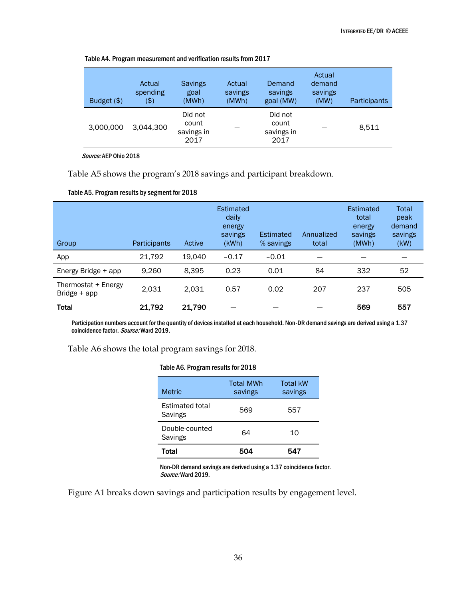| Budget $(\$)$ | Actual<br>spending<br>(\$) | <b>Savings</b><br>goal<br>(MWh)        | Actual<br>savings<br>(MWh) | Demand<br>savings<br>goal (MW)         | Actual<br>demand<br>savings<br>(MW) | Participants |
|---------------|----------------------------|----------------------------------------|----------------------------|----------------------------------------|-------------------------------------|--------------|
| 3,000,000     | 3,044,300                  | Did not<br>count<br>savings in<br>2017 |                            | Did not<br>count<br>savings in<br>2017 |                                     | 8,511        |

Table A4. Program measurement and verification results from 2017

Source: AEP Ohio 2018

Table A5 shows the program's 2018 savings and participant breakdown.

#### Table A5. Program results by segment for 2018

| Group                                 | Participants | Active | <b>Estimated</b><br>daily<br>energy<br>savings<br>(KWh) | Estimated<br>% savings | Annualized<br>total | Estimated<br>total<br>energy<br>savings<br>(MWh) | Total<br>peak<br>demand<br>savings<br>(KW) |
|---------------------------------------|--------------|--------|---------------------------------------------------------|------------------------|---------------------|--------------------------------------------------|--------------------------------------------|
| App                                   | 21,792       | 19.040 | $-0.17$                                                 | $-0.01$                |                     |                                                  |                                            |
| Energy Bridge + app                   | 9.260        | 8.395  | 0.23                                                    | 0.01                   | 84                  | 332                                              | 52                                         |
| Thermostat + Energy<br>Bridge $+$ app | 2.031        | 2.031  | 0.57                                                    | 0.02                   | 207                 | 237                                              | 505                                        |
| Total                                 | 21,792       | 21,790 |                                                         |                        |                     | 569                                              | 557                                        |

Participation numbers account for the quantity of devices installed at each household. Non-DR demand savings are derived using a 1.37 coincidence factor. Source: Ward 2019.

Table A6 shows the total program savings for 2018.

#### Table A6. Program results for 2018

| <b>Metric</b>                     | <b>Total MWh</b><br>savings | <b>Total kW</b><br>savings |
|-----------------------------------|-----------------------------|----------------------------|
| <b>Estimated total</b><br>Savings | 569                         | 557                        |
| Double-counted<br>Savings         | 64                          | 10                         |
| Total                             | 504                         | 547                        |

Non-DR demand savings are derived using a 1.37 coincidence factor. Source: Ward 2019.

Figure A1 breaks down savings and participation results by engagement level.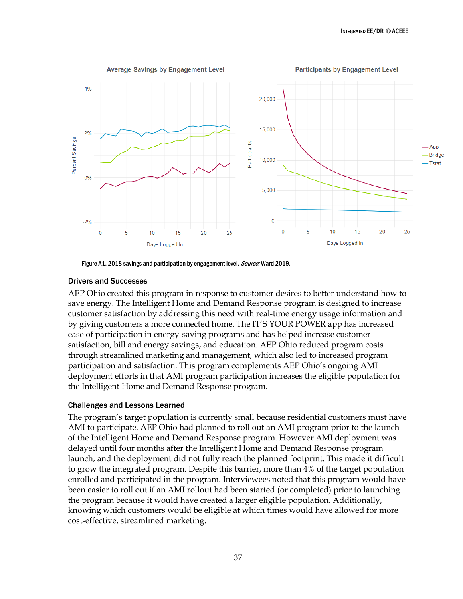

Figure A1. 2018 savings and participation by engagement level. *Source:* Ward 2019.

#### Drivers and Successes

AEP Ohio created this program in response to customer desires to better understand how to save energy. The Intelligent Home and Demand Response program is designed to increase customer satisfaction by addressing this need with real-time energy usage information and by giving customers a more connected home. The IT'S YOUR POWER app has increased ease of participation in energy-saving programs and has helped increase customer satisfaction, bill and energy savings, and education. AEP Ohio reduced program costs through streamlined marketing and management, which also led to increased program participation and satisfaction. This program complements AEP Ohio's ongoing AMI deployment efforts in that AMI program participation increases the eligible population for the Intelligent Home and Demand Response program.

#### Challenges and Lessons Learned

The program's target population is currently small because residential customers must have AMI to participate. AEP Ohio had planned to roll out an AMI program prior to the launch of the Intelligent Home and Demand Response program. However AMI deployment was delayed until four months after the Intelligent Home and Demand Response program launch, and the deployment did not fully reach the planned footprint. This made it difficult to grow the integrated program. Despite this barrier, more than 4% of the target population enrolled and participated in the program. Interviewees noted that this program would have been easier to roll out if an AMI rollout had been started (or completed) prior to launching the program because it would have created a larger eligible population. Additionally, knowing which customers would be eligible at which times would have allowed for more cost-effective, streamlined marketing.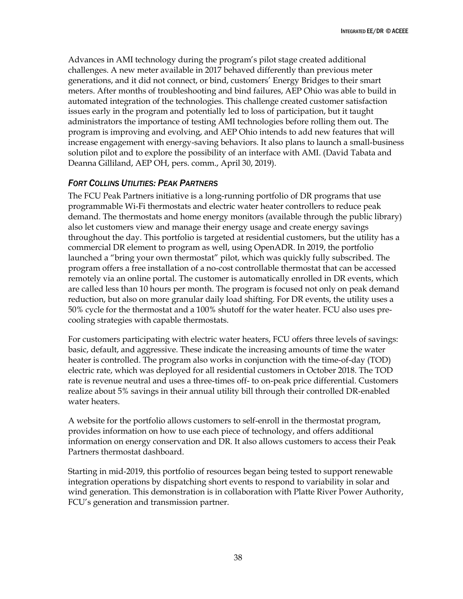Advances in AMI technology during the program's pilot stage created additional challenges. A new meter available in 2017 behaved differently than previous meter generations, and it did not connect, or bind, customers' Energy Bridges to their smart meters. After months of troubleshooting and bind failures, AEP Ohio was able to build in automated integration of the technologies. This challenge created customer satisfaction issues early in the program and potentially led to loss of participation, but it taught administrators the importance of testing AMI technologies before rolling them out. The program is improving and evolving, and AEP Ohio intends to add new features that will increase engagement with energy-saving behaviors. It also plans to launch a small-business solution pilot and to explore the possibility of an interface with AMI. (David Tabata and Deanna Gilliland, AEP OH, pers. comm., April 30, 2019).

### <span id="page-44-0"></span>*FORT COLLINS UTILITIES: PEAK PARTNERS*

The FCU Peak Partners initiative is a long-running portfolio of DR programs that use programmable Wi-Fi thermostats and electric water heater controllers to reduce peak demand. The thermostats and home energy monitors (available through the public library) also let customers view and manage their energy usage and create energy savings throughout the day. This portfolio is targeted at residential customers, but the utility has a commercial DR element to program as well, using OpenADR. In 2019, the portfolio launched a "bring your own thermostat" pilot, which was quickly fully subscribed. The program offers a free installation of a no-cost controllable thermostat that can be accessed remotely via an online portal. The customer is automatically enrolled in DR events, which are called less than 10 hours per month. The program is focused not only on peak demand reduction, but also on more granular daily load shifting. For DR events, the utility uses a 50% cycle for the thermostat and a 100% shutoff for the water heater. FCU also uses precooling strategies with capable thermostats.

For customers participating with electric water heaters, FCU offers three levels of savings: basic, default, and aggressive. These indicate the increasing amounts of time the water heater is controlled. The program also works in conjunction with the time-of-day (TOD) electric rate, which was deployed for all residential customers in October 2018. The TOD rate is revenue neutral and uses a three-times off- to on-peak price differential. Customers realize about 5% savings in their annual utility bill through their controlled DR-enabled water heaters.

A website for the portfolio allows customers to self-enroll in the thermostat program, provides information on how to use each piece of technology, and offers additional information on energy conservation and DR. It also allows customers to access their Peak Partners thermostat dashboard.

Starting in mid-2019, this portfolio of resources began being tested to support renewable integration operations by dispatching short events to respond to variability in solar and wind generation. This demonstration is in collaboration with Platte River Power Authority, FCU's generation and transmission partner.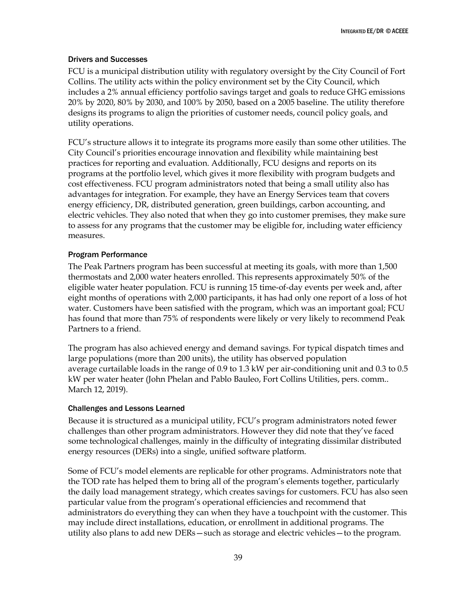#### Drivers and Successes

FCU is a municipal distribution utility with regulatory oversight by the City Council of Fort Collins. The utility acts within the policy environment set by the City Council, which includes a 2% annual efficiency portfolio savings target and goals to reduce GHG emissions 20% by 2020, 80% by 2030, and 100% by 2050, based on a 2005 baseline. The utility therefore designs its programs to align the priorities of customer needs, council policy goals, and utility operations.

FCU's structure allows it to integrate its programs more easily than some other utilities. The City Council's priorities encourage innovation and flexibility while maintaining best practices for reporting and evaluation. Additionally, FCU designs and reports on its programs at the portfolio level, which gives it more flexibility with program budgets and cost effectiveness. FCU program administrators noted that being a small utility also has advantages for integration. For example, they have an Energy Services team that covers energy efficiency, DR, distributed generation, green buildings, carbon accounting, and electric vehicles. They also noted that when they go into customer premises, they make sure to assess for any programs that the customer may be eligible for, including water efficiency measures.

#### Program Performance

The Peak Partners program has been successful at meeting its goals, with more than 1,500 thermostats and 2,000 water heaters enrolled. This represents approximately 50% of the eligible water heater population. FCU is running 15 time-of-day events per week and, after eight months of operations with 2,000 participants, it has had only one report of a loss of hot water. Customers have been satisfied with the program, which was an important goal; FCU has found that more than 75% of respondents were likely or very likely to recommend Peak Partners to a friend.

The program has also achieved energy and demand savings. For typical dispatch times and large populations (more than 200 units), the utility has observed population average curtailable loads in the range of 0.9 to 1.3 kW per air-conditioning unit and 0.3 to 0.5 kW per water heater (John Phelan and Pablo Bauleo, Fort Collins Utilities, pers. comm.. March 12, 2019).

#### Challenges and Lessons Learned

Because it is structured as a municipal utility, FCU's program administrators noted fewer challenges than other program administrators. However they did note that they've faced some technological challenges, mainly in the difficulty of integrating dissimilar distributed energy resources (DERs) into a single, unified software platform.

Some of FCU's model elements are replicable for other programs. Administrators note that the TOD rate has helped them to bring all of the program's elements together, particularly the daily load management strategy, which creates savings for customers. FCU has also seen particular value from the program's operational efficiencies and recommend that administrators do everything they can when they have a touchpoint with the customer. This may include direct installations, education, or enrollment in additional programs. The utility also plans to add new DERs—such as storage and electric vehicles—to the program.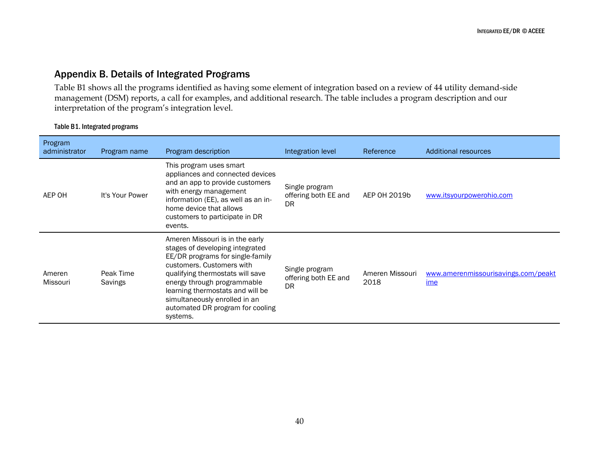# Appendix B. Details of Integrated Programs

Table B1 shows all the programs identified as having some element of integration based on a review of 44 utility demand-side management (DSM) reports, a call for examples, and additional research. The table includes a program description and our interpretation of the program's integration level.

#### Table B1. Integrated programs

<span id="page-46-0"></span>

| Program<br>administrator | Program name         | Program description                                                                                                                                                                                                                                                                                                         | Integration level                            | Reference               | Additional resources                       |
|--------------------------|----------------------|-----------------------------------------------------------------------------------------------------------------------------------------------------------------------------------------------------------------------------------------------------------------------------------------------------------------------------|----------------------------------------------|-------------------------|--------------------------------------------|
| AEP OH                   | It's Your Power      | This program uses smart<br>appliances and connected devices<br>and an app to provide customers<br>with energy management<br>information (EE), as well as an in-<br>home device that allows<br>customers to participate in DR<br>events.                                                                                     | Single program<br>offering both EE and<br>DR | AEP OH 2019b            | www.itsyourpowerohio.com                   |
| Ameren<br>Missouri       | Peak Time<br>Savings | Ameren Missouri is in the early<br>stages of developing integrated<br>EE/DR programs for single-family<br>customers. Customers with<br>qualifying thermostats will save<br>energy through programmable<br>learning thermostats and will be<br>simultaneously enrolled in an<br>automated DR program for cooling<br>systems. | Single program<br>offering both EE and<br>DR | Ameren Missouri<br>2018 | www.amerenmissourisavings.com/peakt<br>ime |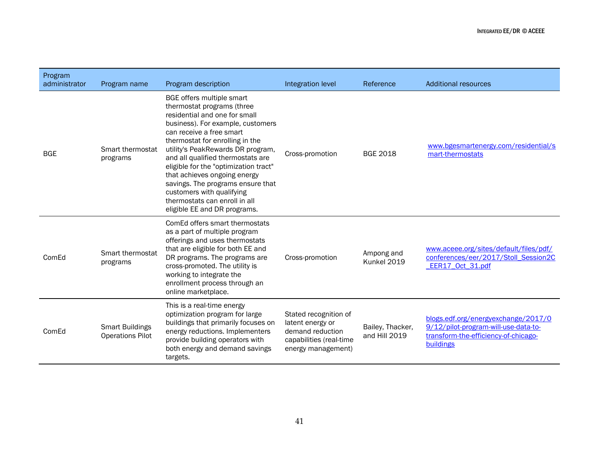| Program<br>administrator | Program name                                      | Program description                                                                                                                                                                                                                                                                                                                                                                                                                                                                | Integration level                                                                                              | Reference                         | <b>Additional resources</b>                                                                                                      |
|--------------------------|---------------------------------------------------|------------------------------------------------------------------------------------------------------------------------------------------------------------------------------------------------------------------------------------------------------------------------------------------------------------------------------------------------------------------------------------------------------------------------------------------------------------------------------------|----------------------------------------------------------------------------------------------------------------|-----------------------------------|----------------------------------------------------------------------------------------------------------------------------------|
| <b>BGE</b>               | Smart thermostat<br>programs                      | BGE offers multiple smart<br>thermostat programs (three<br>residential and one for small<br>business). For example, customers<br>can receive a free smart<br>thermostat for enrolling in the<br>utility's PeakRewards DR program,<br>and all qualified thermostats are<br>eligible for the "optimization tract"<br>that achieves ongoing energy<br>savings. The programs ensure that<br>customers with qualifying<br>thermostats can enroll in all<br>eligible EE and DR programs. | Cross-promotion                                                                                                | <b>BGE 2018</b>                   | www.bgesmartenergy.com/residential/s<br>mart-thermostats                                                                         |
| ComEd                    | Smart thermostat<br>programs                      | ComEd offers smart thermostats<br>as a part of multiple program<br>offerings and uses thermostats<br>that are eligible for both EE and<br>DR programs. The programs are<br>cross-promoted. The utility is<br>working to integrate the<br>enrollment process through an<br>online marketplace.                                                                                                                                                                                      | Cross-promotion                                                                                                | Ampong and<br>Kunkel 2019         | www.aceee.org/sites/default/files/pdf/<br>conferences/eer/2017/Stoll_Session2C<br>EER17_Oct_31.pdf                               |
| ComEd                    | <b>Smart Buildings</b><br><b>Operations Pilot</b> | This is a real-time energy<br>optimization program for large<br>buildings that primarily focuses on<br>energy reductions. Implementers<br>provide building operators with<br>both energy and demand savings<br>targets.                                                                                                                                                                                                                                                            | Stated recognition of<br>latent energy or<br>demand reduction<br>capabilities (real-time<br>energy management) | Bailey, Thacker,<br>and Hill 2019 | blogs.edf.org/energyexchange/2017/0<br>9/12/pilot-program-will-use-data-to-<br>transform-the-efficiency-of-chicago-<br>buildings |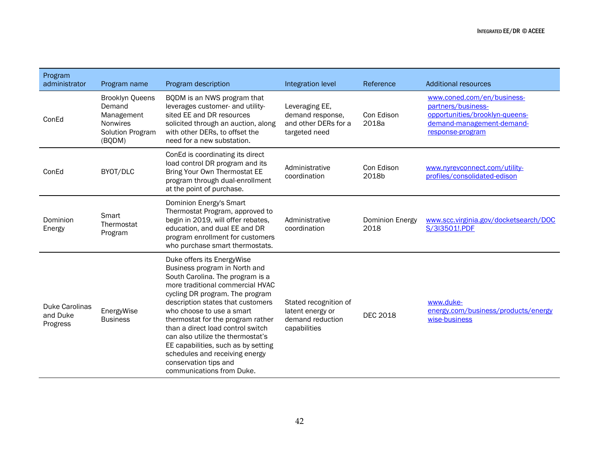| Program<br>administrator                      | Program name                                                                             | Program description                                                                                                                                                                                                                                                                                                                                                                                                                                                                    | Integration level                                                             | Reference               | <b>Additional resources</b>                                                                                                         |
|-----------------------------------------------|------------------------------------------------------------------------------------------|----------------------------------------------------------------------------------------------------------------------------------------------------------------------------------------------------------------------------------------------------------------------------------------------------------------------------------------------------------------------------------------------------------------------------------------------------------------------------------------|-------------------------------------------------------------------------------|-------------------------|-------------------------------------------------------------------------------------------------------------------------------------|
| ConEd                                         | <b>Brooklyn Queens</b><br>Demand<br>Management<br>Nonwires<br>Solution Program<br>(BQDM) | BQDM is an NWS program that<br>leverages customer- and utility-<br>sited EE and DR resources<br>solicited through an auction, along<br>with other DERs, to offset the<br>need for a new substation.                                                                                                                                                                                                                                                                                    | Leveraging EE,<br>demand response,<br>and other DERs for a<br>targeted need   | Con Edison<br>2018a     | www.coned.com/en/business-<br>partners/business-<br>opportunities/brooklyn-queens-<br>demand-management-demand-<br>response-program |
| ConEd                                         | BYOT/DLC                                                                                 | ConEd is coordinating its direct<br>load control DR program and its<br>Bring Your Own Thermostat EE<br>program through dual-enrollment<br>at the point of purchase.                                                                                                                                                                                                                                                                                                                    | Administrative<br>coordination                                                | Con Edison<br>2018b     | www.nyrevconnect.com/utility-<br>profiles/consolidated-edison                                                                       |
| Dominion<br>Energy                            | Smart<br>Thermostat<br>Program                                                           | Dominion Energy's Smart<br>Thermostat Program, approved to<br>begin in 2019, will offer rebates,<br>education, and dual EE and DR<br>program enrollment for customers<br>who purchase smart thermostats.                                                                                                                                                                                                                                                                               | Administrative<br>coordination                                                | Dominion Energy<br>2018 | www.scc.virginia.gov/docketsearch/DOC<br>S/3I3501!.PDF                                                                              |
| <b>Duke Carolinas</b><br>and Duke<br>Progress | EnergyWise<br><b>Business</b>                                                            | Duke offers its EnergyWise<br>Business program in North and<br>South Carolina. The program is a<br>more traditional commercial HVAC<br>cycling DR program. The program<br>description states that customers<br>who choose to use a smart<br>thermostat for the program rather<br>than a direct load control switch<br>can also utilize the thermostat's<br>EE capabilities, such as by setting<br>schedules and receiving energy<br>conservation tips and<br>communications from Duke. | Stated recognition of<br>latent energy or<br>demand reduction<br>capabilities | <b>DEC 2018</b>         | www.duke-<br>energy.com/business/products/energy<br>wise-business                                                                   |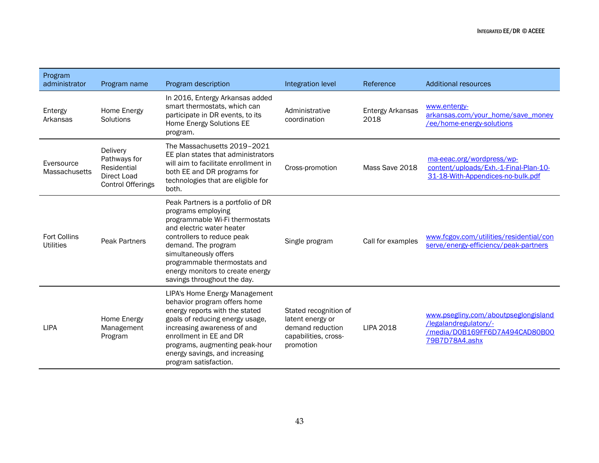| Program<br>administrator                | Program name                                                                       | Program description                                                                                                                                                                                                                                                                                      | Integration level                                                                                  | Reference                | Additional resources                                                                                              |
|-----------------------------------------|------------------------------------------------------------------------------------|----------------------------------------------------------------------------------------------------------------------------------------------------------------------------------------------------------------------------------------------------------------------------------------------------------|----------------------------------------------------------------------------------------------------|--------------------------|-------------------------------------------------------------------------------------------------------------------|
| Entergy<br>Arkansas                     | Home Energy<br>Solutions                                                           | In 2016, Entergy Arkansas added<br>smart thermostats, which can<br>participate in DR events, to its<br>Home Energy Solutions EE<br>program.                                                                                                                                                              | Administrative<br>coordination                                                                     | Entergy Arkansas<br>2018 | www.entergy-<br>arkansas.com/your_home/save_money<br>/ee/home-energy-solutions                                    |
| Eversource<br>Massachusetts             | Delivery<br>Pathways for<br>Residential<br>Direct Load<br><b>Control Offerings</b> | The Massachusetts 2019-2021<br>EE plan states that administrators<br>will aim to facilitate enrollment in<br>both EE and DR programs for<br>technologies that are eligible for<br>both.                                                                                                                  | Cross-promotion                                                                                    | Mass Save 2018           | ma-eeac.org/wordpress/wp-<br>content/uploads/Exh.-1-Final-Plan-10-<br>31-18-With-Appendices-no-bulk.pdf           |
| <b>Fort Collins</b><br><b>Utilities</b> | <b>Peak Partners</b>                                                               | Peak Partners is a portfolio of DR<br>programs employing<br>programmable Wi-Fi thermostats<br>and electric water heater<br>controllers to reduce peak<br>demand. The program<br>simultaneously offers<br>programmable thermostats and<br>energy monitors to create energy<br>savings throughout the day. | Single program                                                                                     | Call for examples        | www.fcgov.com/utilities/residential/con<br>serve/energy-efficiency/peak-partners                                  |
| <b>LIPA</b>                             | Home Energy<br>Management<br>Program                                               | LIPA's Home Energy Management<br>behavior program offers home<br>energy reports with the stated<br>goals of reducing energy usage,<br>increasing awareness of and<br>enrollment in EE and DR<br>programs, augmenting peak-hour<br>energy savings, and increasing<br>program satisfaction.                | Stated recognition of<br>latent energy or<br>demand reduction<br>capabilities, cross-<br>promotion | <b>LIPA 2018</b>         | www.psegliny.com/aboutpseglongisland<br>/legalandregulatory/-<br>/media/D0B169FF6D7A494CAD80B00<br>79B7D78A4.ashx |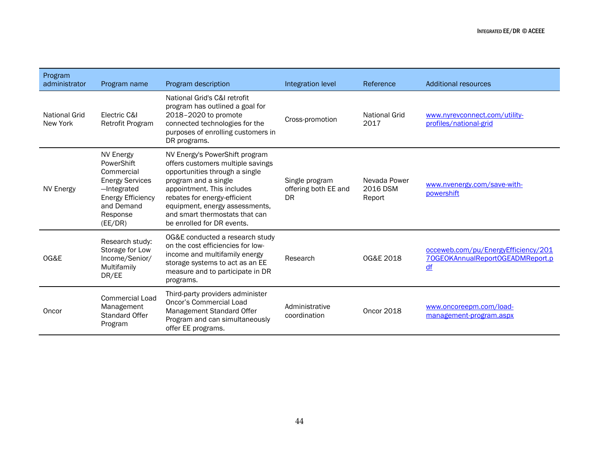| Program<br>administrator  | Program name                                                                                                                                    | Program description                                                                                                                                                                                                                                                                           | Integration level                                   | Reference                          | <b>Additional resources</b>                                                   |
|---------------------------|-------------------------------------------------------------------------------------------------------------------------------------------------|-----------------------------------------------------------------------------------------------------------------------------------------------------------------------------------------------------------------------------------------------------------------------------------------------|-----------------------------------------------------|------------------------------------|-------------------------------------------------------------------------------|
| National Grid<br>New York | Electric C&I<br>Retrofit Program                                                                                                                | National Grid's C&I retrofit<br>program has outlined a goal for<br>2018-2020 to promote<br>connected technologies for the<br>purposes of enrolling customers in<br>DR programs.                                                                                                               | Cross-promotion                                     | <b>National Grid</b><br>2017       | www.nyrevconnect.com/utility-<br>profiles/national-grid                       |
| <b>NV Energy</b>          | <b>NV Energy</b><br>PowerShift<br>Commercial<br><b>Energy Services</b><br>-Integrated<br>Energy Efficiency<br>and Demand<br>Response<br>(EE/DR) | NV Energy's PowerShift program<br>offers customers multiple savings<br>opportunities through a single<br>program and a single<br>appointment. This includes<br>rebates for energy-efficient<br>equipment, energy assessments,<br>and smart thermostats that can<br>be enrolled for DR events. | Single program<br>offering both EE and<br><b>DR</b> | Nevada Power<br>2016 DSM<br>Report | www.nvenergy.com/save-with-<br>powershift                                     |
| OG&E                      | Research study:<br>Storage for Low<br>Income/Senior/<br>Multifamily<br>DR/EE                                                                    | OG&E conducted a research study<br>on the cost efficiencies for low-<br>income and multifamily energy<br>storage systems to act as an EE<br>measure and to participate in DR<br>programs.                                                                                                     | Research                                            | OG&E 2018                          | occeweb.com/pu/EnergyEfficiency/201<br>70GEOKAnnualReportOGEADMReport.p<br>df |
| Oncor                     | <b>Commercial Load</b><br>Management<br><b>Standard Offer</b><br>Program                                                                        | Third-party providers administer<br><b>Oncor's Commercial Load</b><br>Management Standard Offer<br>Program and can simultaneously<br>offer EE programs.                                                                                                                                       | Administrative<br>coordination                      | <b>Oncor 2018</b>                  | www.oncoreepm.com/load-<br>management-program.aspx                            |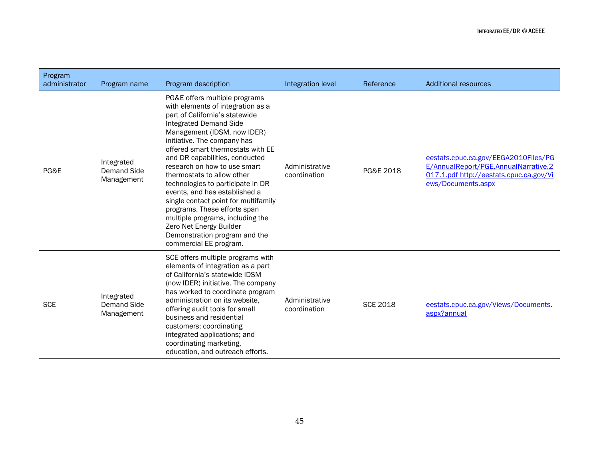| Program<br>administrator | Program name                            | Program description                                                                                                                                                                                                                                                                                                                                                                                                                                                                                                                                                                                       | Integration level              | Reference       | <b>Additional resources</b>                                                                                                                   |
|--------------------------|-----------------------------------------|-----------------------------------------------------------------------------------------------------------------------------------------------------------------------------------------------------------------------------------------------------------------------------------------------------------------------------------------------------------------------------------------------------------------------------------------------------------------------------------------------------------------------------------------------------------------------------------------------------------|--------------------------------|-----------------|-----------------------------------------------------------------------------------------------------------------------------------------------|
| PG&E                     | Integrated<br>Demand Side<br>Management | PG&E offers multiple programs<br>with elements of integration as a<br>part of California's statewide<br>Integrated Demand Side<br>Management (IDSM, now IDER)<br>initiative. The company has<br>offered smart thermostats with EE<br>and DR capabilities, conducted<br>research on how to use smart<br>thermostats to allow other<br>technologies to participate in DR<br>events, and has established a<br>single contact point for multifamily<br>programs. These efforts span<br>multiple programs, including the<br>Zero Net Energy Builder<br>Demonstration program and the<br>commercial EE program. | Administrative<br>coordination | PG&E 2018       | eestats.cpuc.ca.gov/EEGA2010Files/PG<br>E/AnnualReport/PGE.AnnualNarrative.2<br>017.1.pdf http://eestats.cpuc.ca.gov/Vi<br>ews/Documents.aspx |
| <b>SCE</b>               | Integrated<br>Demand Side<br>Management | SCE offers multiple programs with<br>elements of integration as a part<br>of California's statewide IDSM<br>(now IDER) initiative. The company<br>has worked to coordinate program<br>administration on its website,<br>offering audit tools for small<br>business and residential<br>customers; coordinating<br>integrated applications; and<br>coordinating marketing,<br>education, and outreach efforts.                                                                                                                                                                                              | Administrative<br>coordination | <b>SCE 2018</b> | eestats.cpuc.ca.gov/Views/Documents.<br>aspx?annual                                                                                           |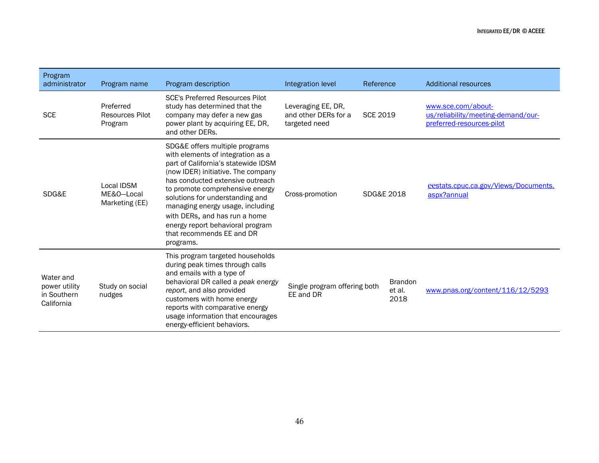| Program<br>administrator                                | Program name                                   | Program description                                                                                                                                                                                                                                                                                                                                                                                           | Integration level                                           | Reference                        | <b>Additional resources</b>                                                           |
|---------------------------------------------------------|------------------------------------------------|---------------------------------------------------------------------------------------------------------------------------------------------------------------------------------------------------------------------------------------------------------------------------------------------------------------------------------------------------------------------------------------------------------------|-------------------------------------------------------------|----------------------------------|---------------------------------------------------------------------------------------|
| <b>SCE</b>                                              | Preferred<br><b>Resources Pilot</b><br>Program | <b>SCE's Preferred Resources Pilot</b><br>study has determined that the<br>company may defer a new gas<br>power plant by acquiring EE, DR,<br>and other DERs.                                                                                                                                                                                                                                                 | Leveraging EE, DR,<br>and other DERs for a<br>targeted need | <b>SCE 2019</b>                  | www.sce.com/about-<br>us/reliability/meeting-demand/our-<br>preferred-resources-pilot |
| SDG&E                                                   | Local IDSM<br>ME&O-Local<br>Marketing (EE)     | SDG&E offers multiple programs<br>with elements of integration as a<br>part of California's statewide IDSM<br>(now IDER) initiative. The company<br>has conducted extensive outreach<br>to promote comprehensive energy<br>solutions for understanding and<br>managing energy usage, including<br>with DERs, and has run a home<br>energy report behavioral program<br>that recommends EE and DR<br>programs. | Cross-promotion                                             | SDG&E 2018                       | eestats.cpuc.ca.gov/Views/Documents.<br>aspx?annual                                   |
| Water and<br>power utility<br>in Southern<br>California | Study on social<br>nudges                      | This program targeted households<br>during peak times through calls<br>and emails with a type of<br>behavioral DR called a peak energy<br>report, and also provided<br>customers with home energy<br>reports with comparative energy<br>usage information that encourages<br>energy-efficient behaviors.                                                                                                      | Single program offering both<br>EE and DR                   | <b>Brandon</b><br>et al.<br>2018 | www.pnas.org/content/116/12/5293                                                      |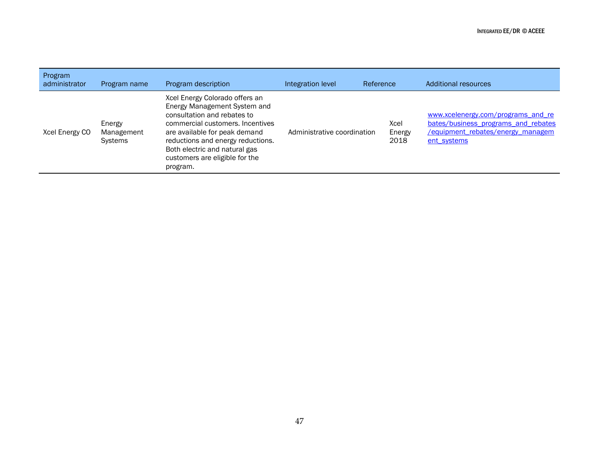| Program<br>administrator | Program name                           | Program description                                                                                                                                                                                                                                                                    | Integration level           | Reference              | Additional resources                                                                                                          |
|--------------------------|----------------------------------------|----------------------------------------------------------------------------------------------------------------------------------------------------------------------------------------------------------------------------------------------------------------------------------------|-----------------------------|------------------------|-------------------------------------------------------------------------------------------------------------------------------|
| Xcel Energy CO           | Energy<br>Management<br><b>Systems</b> | Xcel Energy Colorado offers an<br>Energy Management System and<br>consultation and rebates to<br>commercial customers. Incentives<br>are available for peak demand<br>reductions and energy reductions.<br>Both electric and natural gas<br>customers are eligible for the<br>program. | Administrative coordination | Xcel<br>Energy<br>2018 | www.xcelenergy.com/programs and re<br>bates/business programs and rebates<br>/equipment_rebates/energy_managem<br>ent systems |